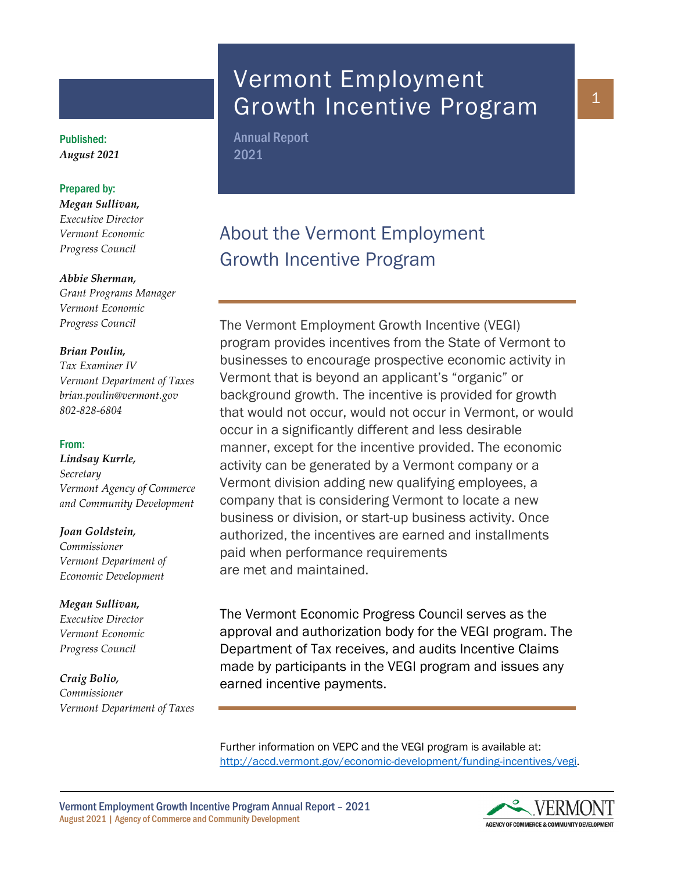# Vermont Employment Growth Incentive Program

Annual Report 2021

# About the Vermont Employment Growth Incentive Program

The Vermont Employment Growth Incentive (VEGI) program provides incentives from the State of Vermont to businesses to encourage prospective economic activity in Vermont that is beyond an applicant's "organic" or background growth. The incentive is provided for growth that would not occur, would not occur in Vermont, or would occur in a significantly different and less desirable manner, except for the incentive provided. The economic activity can be generated by a Vermont company or a Vermont division adding new qualifying employees, a company that is considering Vermont to locate a new business or division, or start-up business activity. Once authorized, the incentives are earned and installments paid when performance requirements are met and maintained.

The Vermont Economic Progress Council serves as the approval and authorization body for the VEGI program. The Department of Tax receives, and audits Incentive Claims made by participants in the VEGI program and issues any earned incentive payments.

Further information on VEPC and the VEGI program is available at: [http://accd.vermont.gov/economic-development/funding-incentives/vegi.](http://accd.vermont.gov/economic-development/funding-incentives/vegi)

Vermont Employment Growth Incentive Program Annual Report – 2021 August 2021 | Agency of Commerce and Community Development



1

Published: *August 2021*

# Prepared by:

*Megan Sullivan, Executive Director Vermont Economic Progress Council*

## *Abbie Sherman,*

*Grant Programs Manager Vermont Economic Progress Council*

## *Brian Poulin,*

*Tax Examiner IV Vermont Department of Taxes brian.poulin@vermont.gov 802-828-6804*

#### From:

*Lindsay Kurrle, Secretary Vermont Agency of Commerce and Community Development*

#### *Joan Goldstein,*

*Commissioner Vermont Department of Economic Development*

#### *Megan Sullivan,*

*Executive Director Vermont Economic Progress Council*

*Craig Bolio, Commissioner Vermont Department of Taxes*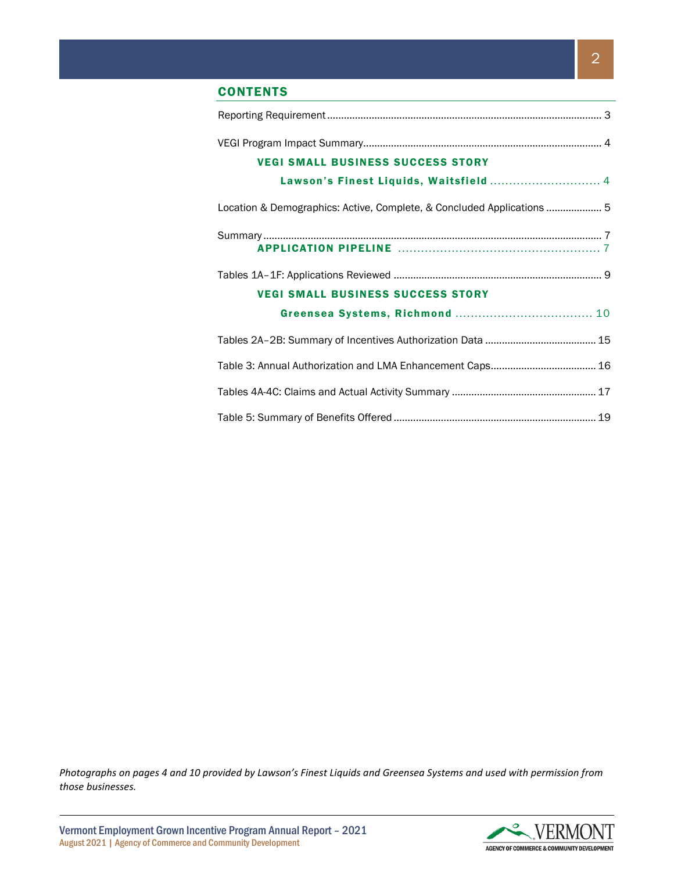# **CONTENTS**

| <b>VEGI SMALL BUSINESS SUCCESS STORY</b>                               |  |
|------------------------------------------------------------------------|--|
| Lawson's Finest Liquids, Waitsfield  4                                 |  |
| Location & Demographics: Active, Complete, & Concluded Applications  5 |  |
|                                                                        |  |
|                                                                        |  |
|                                                                        |  |
| <b>VEGI SMALL BUSINESS SUCCESS STORY</b>                               |  |
|                                                                        |  |
|                                                                        |  |
|                                                                        |  |
|                                                                        |  |
|                                                                        |  |

*Photographs on pages 4 and 10 provided by Lawson's Finest Liquids and Greensea Systems and used with permission from those businesses.* 

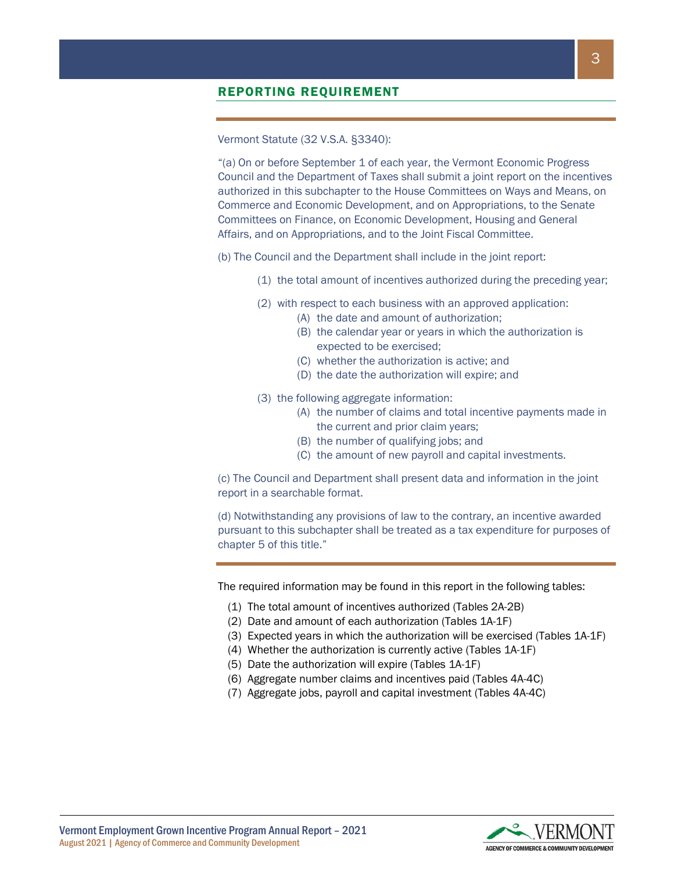Vermont Statute (32 V.S.A. §3340):

"(a) On or before September 1 of each year, the Vermont Economic Progress Council and the Department of Taxes shall submit a joint report on the incentives authorized in this subchapter to the House Committees on Ways and Means, on Commerce and Economic Development, and on Appropriations, to the Senate Committees on Finance, on Economic Development, Housing and General Affairs, and on Appropriations, and to the Joint Fiscal Committee.

- (b) The Council and the Department shall include in the joint report:
	- (1) the total amount of incentives authorized during the preceding year;
	- (2) with respect to each business with an approved application:
		- (A) the date and amount of authorization;
		- (B) the calendar year or years in which the authorization is expected to be exercised;
		- (C) whether the authorization is active; and
		- (D) the date the authorization will expire; and
	- (3) the following aggregate information:
		- (A) the number of claims and total incentive payments made in the current and prior claim years;
		- (B) the number of qualifying jobs; and
		- (C) the amount of new payroll and capital investments.

(c) The Council and Department shall present data and information in the joint report in a searchable format.

(d) Notwithstanding any provisions of law to the contrary, an incentive awarded pursuant to this subchapter shall be treated as a tax expenditure for purposes of chapter 5 of this title."

The required information may be found in this report in the following tables:

- (1) The total amount of incentives authorized (Tables 2A-2B)
- (2) Date and amount of each authorization (Tables 1A-1F)
- (3) Expected years in which the authorization will be exercised (Tables 1A-1F)
- (4) Whether the authorization is currently active (Tables 1A-1F)
- (5) Date the authorization will expire (Tables 1A-1F)
- (6) Aggregate number claims and incentives paid (Tables 4A-4C)
- (7) Aggregate jobs, payroll and capital investment (Tables 4A-4C)

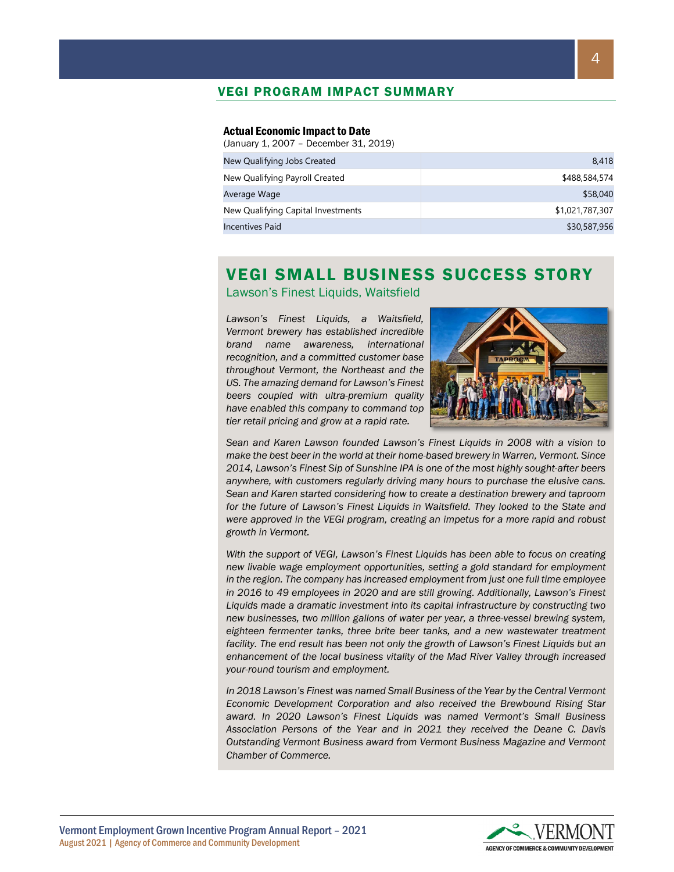# VEGI PROGRAM IMPACT SUMMARY

#### Actual Economic Impact to Date

(January 1, 2007 – December 31, 2019)

| New Qualifying Jobs Created        | 8.418           |
|------------------------------------|-----------------|
| New Qualifying Payroll Created     | \$488,584,574   |
| Average Wage                       | \$58,040        |
| New Qualifying Capital Investments | \$1,021,787,307 |
| Incentives Paid                    | \$30,587,956    |

# VEGI SMALL BUSINESS SUCCESS STORY

Lawson's Finest Liquids, Waitsfield

*Lawson's Finest Liquids, a Waitsfield, Vermont brewery has established incredible brand name awareness, international recognition, and a committed customer base throughout Vermont, the Northeast and the US. The amazing demand for Lawson's Finest beers coupled with ultra-premium quality have enabled this company to command top tier retail pricing and grow at a rapid rate.* 



*Sean and Karen Lawson founded Lawson's Finest Liquids in 2008 with a vision to make the best beer in the world at their home-based brewery in Warren, Vermont. Since 2014, Lawson's Finest Sip of Sunshine IPA is one of the most highly sought-after beers anywhere, with customers regularly driving many hours to purchase the elusive cans. Sean and Karen started considering how to create a destination brewery and taproom for the future of Lawson's Finest Liquids in Waitsfield. They looked to the State and were approved in the VEGI program, creating an impetus for a more rapid and robust growth in Vermont.*

*With the support of VEGI, Lawson's Finest Liquids has been able to focus on creating new livable wage employment opportunities, setting a gold standard for employment in the region. The company has increased employment from just one full time employee in 2016 to 49 employees in 2020 and are still growing. Additionally, Lawson's Finest Liquids made a dramatic investment into its capital infrastructure by constructing two new businesses, two million gallons of water per year, a three-vessel brewing system,*  eighteen fermenter tanks, three brite beer tanks, and a new wastewater treatment *facility. The end result has been not only the growth of Lawson's Finest Liquids but an enhancement of the local business vitality of the Mad River Valley through increased your-round tourism and employment.* 

*In 2018 Lawson's Finest was named Small Business of the Year by the Central Vermont Economic Development Corporation and also received the Brewbound Rising Star award. In 2020 Lawson's Finest Liquids was named Vermont's Small Business Association Persons of the Year and in 2021 they received the Deane C. Davis Outstanding Vermont Business award from Vermont Business Magazine and Vermont Chamber of Commerce.*

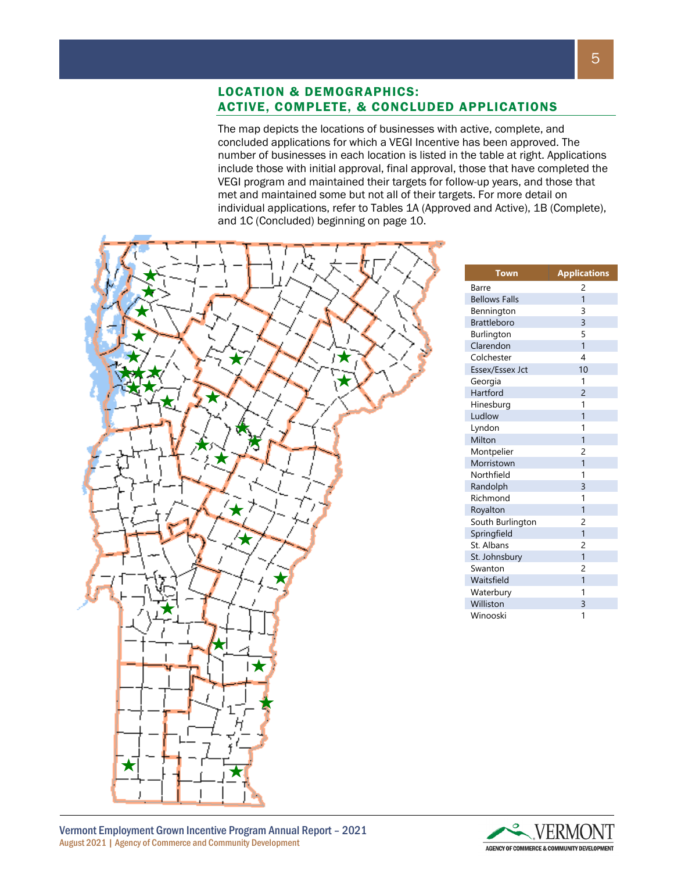# LOCATION & DEMOGRAPHICS: ACTIVE, COMPLETE, & CONCLUDED APPLICATIONS

The map depicts the locations of businesses with active, complete, and concluded applications for which a VEGI Incentive has been approved. The number of businesses in each location is listed in the table at right. Applications include those with initial approval, final approval, those that have completed the VEGI program and maintained their targets for follow-up years, and those that met and maintained some but not all of their targets. For more detail on individual applications, refer to Tables 1A (Approved and Active), 1B (Complete), and 1C (Concluded) beginning on page 10.



| <b>Town</b>          | <b>Applications</b> |
|----------------------|---------------------|
| Barre                | 2                   |
| <b>Bellows Falls</b> | $\overline{1}$      |
| Bennington           | 3                   |
| <b>Brattleboro</b>   | 3                   |
| Burlington           | 5                   |
| Clarendon            | $\overline{1}$      |
| Colchester           | 4                   |
| Essex/Essex Jct      | 10                  |
| Georgia              | 1                   |
| Hartford             | 2                   |
| Hinesburg            | 1                   |
| Ludlow               | 1                   |
| Lyndon               | 1                   |
| Milton               | $\overline{1}$      |
| Montpelier           | 2                   |
| Morristown           | $\overline{1}$      |
| Northfield           | 1                   |
| Randolph             | 3                   |
| Richmond             | 1                   |
| Royalton             | $\overline{1}$      |
| South Burlington     | $\overline{c}$      |
| Springfield          | $\overline{1}$      |
| St. Albans           | $\overline{c}$      |
| St. Johnsbury        | $\overline{1}$      |
| Swanton              | $\overline{c}$      |
| Waitsfield           | $\mathbf{1}$        |
| Waterbury            | 1                   |
| Williston            | 3                   |
| Winooski             | 1                   |



Vermont Employment Grown Incentive Program Annual Report – 2021 August 2021 | Agency of Commerce and Community Development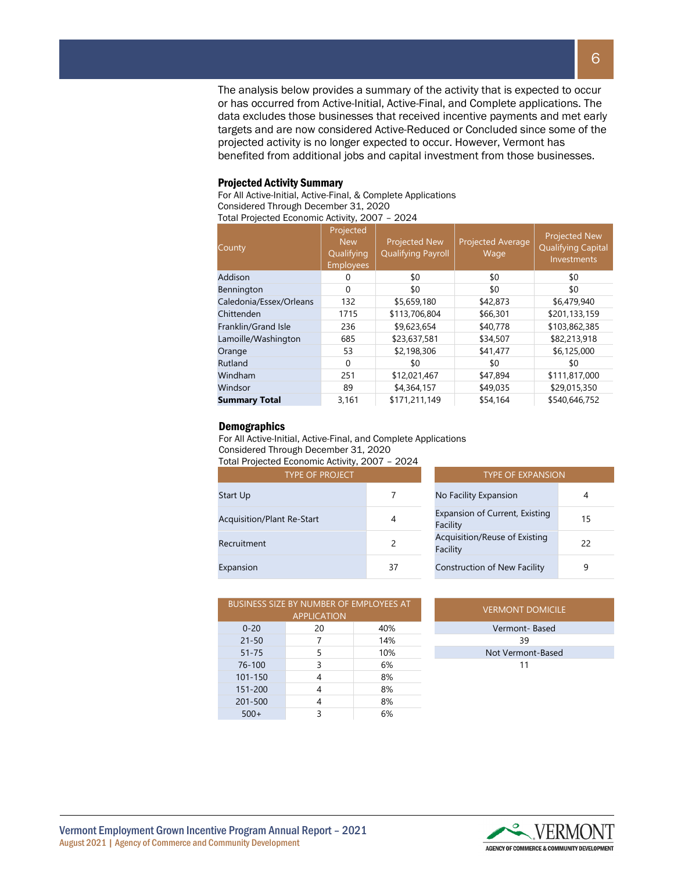The analysis below provides a summary of the activity that is expected to occur or has occurred from Active-Initial, Active-Final, and Complete applications. The data excludes those businesses that received incentive payments and met early targets and are now considered Active-Reduced or Concluded since some of the projected activity is no longer expected to occur. However, Vermont has benefited from additional jobs and capital investment from those businesses.

#### Projected Activity Summary

For All Active-Initial, Active-Final, & Complete Applications Considered Through December 31, 2020

Total Projected Economic Activity, 2007 – 2024

| County                  | Projected<br><b>New</b><br>Qualifying<br><b>Employees</b> | <b>Projected New</b><br><b>Qualifying Payroll</b> | <b>Projected Average</b><br>Wage | <b>Projected New</b><br><b>Qualifying Capital</b><br>Investments |
|-------------------------|-----------------------------------------------------------|---------------------------------------------------|----------------------------------|------------------------------------------------------------------|
| Addison                 | 0                                                         | \$0                                               | \$0                              | \$0                                                              |
| Bennington              | $\Omega$                                                  | \$0                                               | \$0                              | \$0                                                              |
| Caledonia/Essex/Orleans | 132                                                       | \$5,659,180                                       | \$42,873                         | \$6,479,940                                                      |
| Chittenden              | 1715                                                      | \$113,706,804                                     | \$66,301                         | \$201,133,159                                                    |
| Franklin/Grand Isle     | 236                                                       | \$9,623,654                                       | \$40,778                         | \$103,862,385                                                    |
| Lamoille/Washington     | 685                                                       | \$23,637,581                                      | \$34,507                         | \$82,213,918                                                     |
| Orange                  | 53                                                        | \$2,198,306                                       | \$41,477                         | \$6,125,000                                                      |
| Rutland                 | $\Omega$                                                  | \$0                                               | \$0                              | \$0                                                              |
| Windham                 | 251                                                       | \$12,021,467                                      | \$47,894                         | \$111,817,000                                                    |
| Windsor                 | 89                                                        | \$4,364,157                                       | \$49,035                         | \$29,015,350                                                     |
| <b>Summary Total</b>    | 3,161                                                     | \$171,211,149                                     | \$54,164                         | \$540,646,752                                                    |

#### **Demographics**

For All Active-Initial, Active-Final, and Complete Applications

Considered Through December 31, 2020 Total Projected Economic Activity, 2007 – 2024

| <b>TYPE OF PROJECT</b>            | <b>TYPE OF EXPANSION</b> |                                            |                |  |  |  |  |
|-----------------------------------|--------------------------|--------------------------------------------|----------------|--|--|--|--|
| <b>Start Up</b>                   |                          | No Facility Expansion                      | 4              |  |  |  |  |
| <b>Acquisition/Plant Re-Start</b> | 4                        | Expansion of Current, Existing<br>Facility | 1 <sup>t</sup> |  |  |  |  |
| Recruitment                       |                          | Acquisition/Reuse of Existing<br>Facility  | 22             |  |  |  |  |
| Expansion                         | 37                       | <b>Construction of New Facility</b>        | 9              |  |  |  |  |

| $\mathsf{L}\mathsf{C}\mathsf{O}\mathsf{H}\mathsf{O}\mathsf{H}\mathsf{H}\mathsf{C}\mathsf{C}\mathsf{C}\mathsf{C}\mathsf{H}\mathsf{C}\mathsf{H}$ |    |                                            |    |  |  |  |  |
|------------------------------------------------------------------------------------------------------------------------------------------------|----|--------------------------------------------|----|--|--|--|--|
| <b>TYPE OF PROJECT</b>                                                                                                                         |    | <b>TYPE OF EXPANSION</b>                   |    |  |  |  |  |
|                                                                                                                                                |    | No Facility Expansion                      |    |  |  |  |  |
| Re-Start                                                                                                                                       | 4  | Expansion of Current, Existing<br>Facility | 15 |  |  |  |  |
|                                                                                                                                                | 2  | Acquisition/Reuse of Existing<br>Facility  | 22 |  |  |  |  |
|                                                                                                                                                | 37 | <b>Construction of New Facility</b>        | 9  |  |  |  |  |

|             | <b>BUSINESS SIZE BY NUMBER OF EMPLOYEES AT</b><br><b>APPLICATION</b> | <b>VERMONT DOMICILE</b> |                   |
|-------------|----------------------------------------------------------------------|-------------------------|-------------------|
| $0 - 20$    | 20                                                                   | 40%                     | Vermont-Based     |
| $21 - 50$   |                                                                      | 14%                     | 39                |
| $51 - 75$   | 5                                                                    | 10%                     | Not Vermont-Based |
| 76-100      | 3                                                                    | 6%                      | 11                |
| $101 - 150$ | 4                                                                    | 8%                      |                   |
| 151-200     | 4                                                                    | 8%                      |                   |
| 201-500     | 4                                                                    | 8%                      |                   |
| $500+$      |                                                                      | 6%                      |                   |

| <b>VERMONT DOMICILE</b> |  |
|-------------------------|--|
| Vermont-Based           |  |
| 39                      |  |
| Not Vermont-Based       |  |
| 11                      |  |

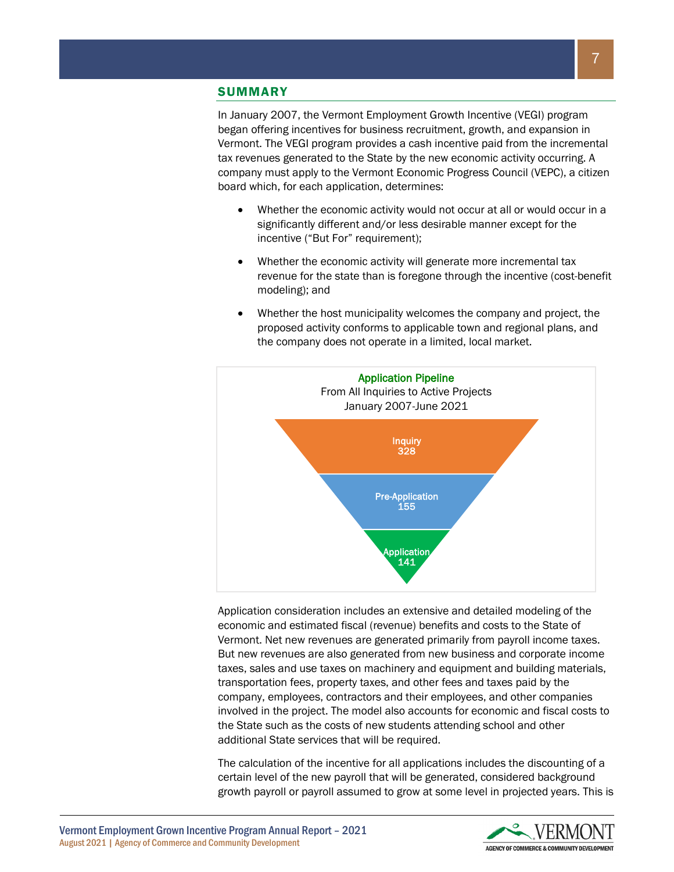## **SUMMARY**

In January 2007, the Vermont Employment Growth Incentive (VEGI) program began offering incentives for business recruitment, growth, and expansion in Vermont. The VEGI program provides a cash incentive paid from the incremental tax revenues generated to the State by the new economic activity occurring. A company must apply to the Vermont Economic Progress Council (VEPC), a citizen board which, for each application, determines:

- Whether the economic activity would not occur at all or would occur in a significantly different and/or less desirable manner except for the incentive ("But For" requirement);
- Whether the economic activity will generate more incremental tax revenue for the state than is foregone through the incentive (cost-benefit modeling); and
- Whether the host municipality welcomes the company and project, the proposed activity conforms to applicable town and regional plans, and the company does not operate in a limited, local market.



Application consideration includes an extensive and detailed modeling of the economic and estimated fiscal (revenue) benefits and costs to the State of Vermont. Net new revenues are generated primarily from payroll income taxes. But new revenues are also generated from new business and corporate income taxes, sales and use taxes on machinery and equipment and building materials, transportation fees, property taxes, and other fees and taxes paid by the company, employees, contractors and their employees, and other companies involved in the project. The model also accounts for economic and fiscal costs to the State such as the costs of new students attending school and other additional State services that will be required.

The calculation of the incentive for all applications includes the discounting of a certain level of the new payroll that will be generated, considered background growth payroll or payroll assumed to grow at some level in projected years. This is

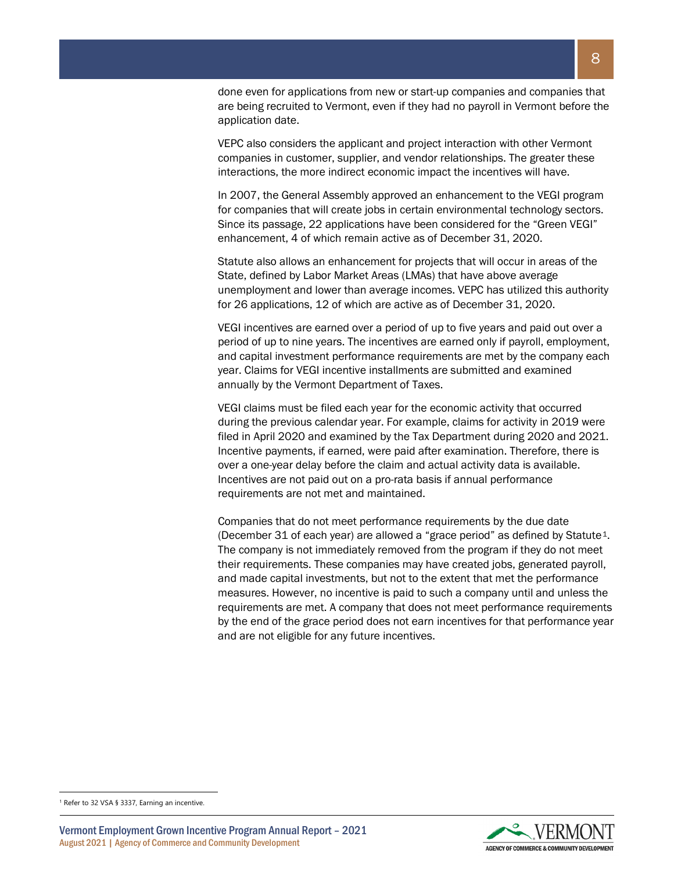done even for applications from new or start-up companies and companies that are being recruited to Vermont, even if they had no payroll in Vermont before the application date.

VEPC also considers the applicant and project interaction with other Vermont companies in customer, supplier, and vendor relationships. The greater these interactions, the more indirect economic impact the incentives will have.

In 2007, the General Assembly approved an enhancement to the VEGI program for companies that will create jobs in certain environmental technology sectors. Since its passage, 22 applications have been considered for the "Green VEGI" enhancement, 4 of which remain active as of December 31, 2020.

Statute also allows an enhancement for projects that will occur in areas of the State, defined by Labor Market Areas (LMAs) that have above average unemployment and lower than average incomes. VEPC has utilized this authority for 26 applications, 12 of which are active as of December 31, 2020.

VEGI incentives are earned over a period of up to five years and paid out over a period of up to nine years. The incentives are earned only if payroll, employment, and capital investment performance requirements are met by the company each year. Claims for VEGI incentive installments are submitted and examined annually by the Vermont Department of Taxes.

VEGI claims must be filed each year for the economic activity that occurred during the previous calendar year. For example, claims for activity in 2019 were filed in April 2020 and examined by the Tax Department during 2020 and 2021. Incentive payments, if earned, were paid after examination. Therefore, there is over a one-year delay before the claim and actual activity data is available. Incentives are not paid out on a pro-rata basis if annual performance requirements are not met and maintained.

Companies that do not meet performance requirements by the due date (December 31 of each year) are allowed a "grace period" as defined by Statute<sup>1</sup>. The company is not immediately removed from the program if they do not meet their requirements. These companies may have created jobs, generated payroll, and made capital investments, but not to the extent that met the performance measures. However, no incentive is paid to such a company until and unless the requirements are met. A company that does not meet performance requirements by the end of the grace period does not earn incentives for that performance year and are not eligible for any future incentives.

Vermont Employment Grown Incentive Program Annual Report – 2021 August 2021 | Agency of Commerce and Community Development



<span id="page-7-0"></span><sup>&</sup>lt;sup>1</sup> Refer to 32 VSA § 3337, Earning an incentive.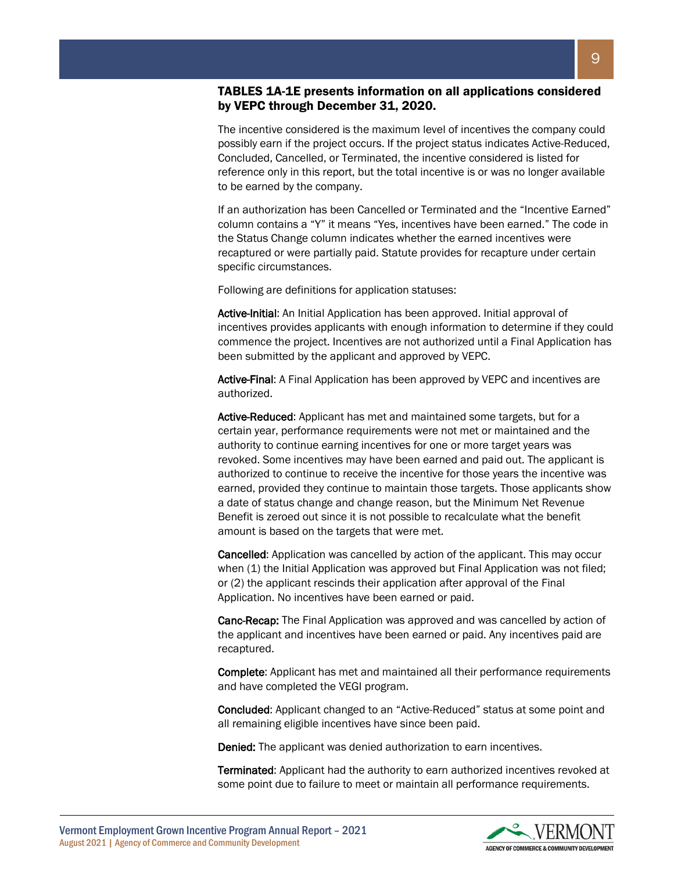# TABLES 1A-1E presents information on all applications considered by VEPC through December 31, 2020.

The incentive considered is the maximum level of incentives the company could possibly earn if the project occurs. If the project status indicates Active-Reduced, Concluded, Cancelled, or Terminated, the incentive considered is listed for reference only in this report, but the total incentive is or was no longer available to be earned by the company.

If an authorization has been Cancelled or Terminated and the "Incentive Earned" column contains a "Y" it means "Yes, incentives have been earned." The code in the Status Change column indicates whether the earned incentives were recaptured or were partially paid. Statute provides for recapture under certain specific circumstances.

Following are definitions for application statuses:

Active-Initial: An Initial Application has been approved. Initial approval of incentives provides applicants with enough information to determine if they could commence the project. Incentives are not authorized until a Final Application has been submitted by the applicant and approved by VEPC.

Active-Final: A Final Application has been approved by VEPC and incentives are authorized.

Active-Reduced: Applicant has met and maintained some targets, but for a certain year, performance requirements were not met or maintained and the authority to continue earning incentives for one or more target years was revoked. Some incentives may have been earned and paid out. The applicant is authorized to continue to receive the incentive for those years the incentive was earned, provided they continue to maintain those targets. Those applicants show a date of status change and change reason, but the Minimum Net Revenue Benefit is zeroed out since it is not possible to recalculate what the benefit amount is based on the targets that were met.

Cancelled: Application was cancelled by action of the applicant. This may occur when (1) the Initial Application was approved but Final Application was not filed; or (2) the applicant rescinds their application after approval of the Final Application. No incentives have been earned or paid.

Canc-Recap: The Final Application was approved and was cancelled by action of the applicant and incentives have been earned or paid. Any incentives paid are recaptured.

Complete: Applicant has met and maintained all their performance requirements and have completed the VEGI program.

Concluded: Applicant changed to an "Active-Reduced" status at some point and all remaining eligible incentives have since been paid.

Denied: The applicant was denied authorization to earn incentives.

Terminated: Applicant had the authority to earn authorized incentives revoked at some point due to failure to meet or maintain all performance requirements.

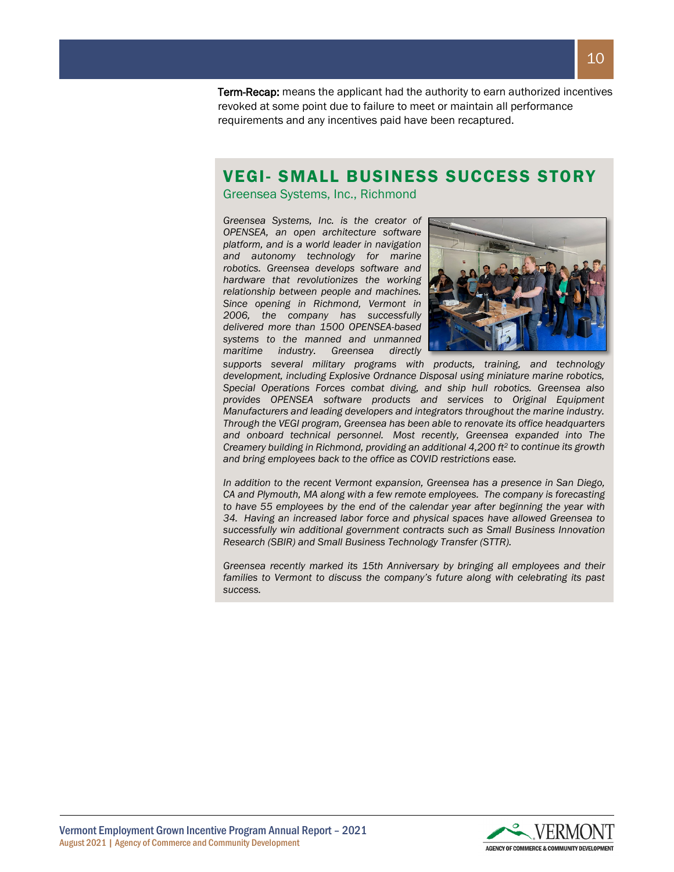**Term-Recap:** means the applicant had the authority to earn authorized incentives revoked at some point due to failure to meet or maintain all performance requirements and any incentives paid have been recaptured.

# VEGI- SMALL BUSINESS SUCCESS STORY

Greensea Systems, Inc., Richmond

*Greensea Systems, Inc. is the creator of OPENSEA, an open architecture software platform, and is a world leader in navigation and autonomy technology for marine robotics. Greensea develops software and hardware that revolutionizes the working relationship between people and machines. Since opening in Richmond, Vermont in 2006, the company has successfully delivered more than 1500 OPENSEA-based systems to the manned and unmanned maritime industry. Greensea directly* 



*supports several military programs with products, training, and technology development, including Explosive Ordnance Disposal using miniature marine robotics, Special Operations Forces combat diving, and ship hull robotics. Greensea also provides OPENSEA software products and services to Original Equipment Manufacturers and leading developers and integrators throughout the marine industry. Through the VEGI program, Greensea has been able to renovate its office headquarters and onboard technical personnel. Most recently, Greensea expanded into The Creamery building in Richmond, providing an additional 4,200 ft2 to continue its growth and bring employees back to the office as COVID restrictions ease.*

*In addition to the recent Vermont expansion, Greensea has a presence in San Diego, CA and Plymouth, MA along with a few remote employees. The company is forecasting to have 55 employees by the end of the calendar year after beginning the year with 34. Having an increased labor force and physical spaces have allowed Greensea to successfully win additional government contracts such as Small Business Innovation Research (SBIR) and Small Business Technology Transfer (STTR).*

*Greensea recently marked its 15th Anniversary by bringing all employees and their*  families to Vermont to discuss the company's future along with celebrating its past *success.*

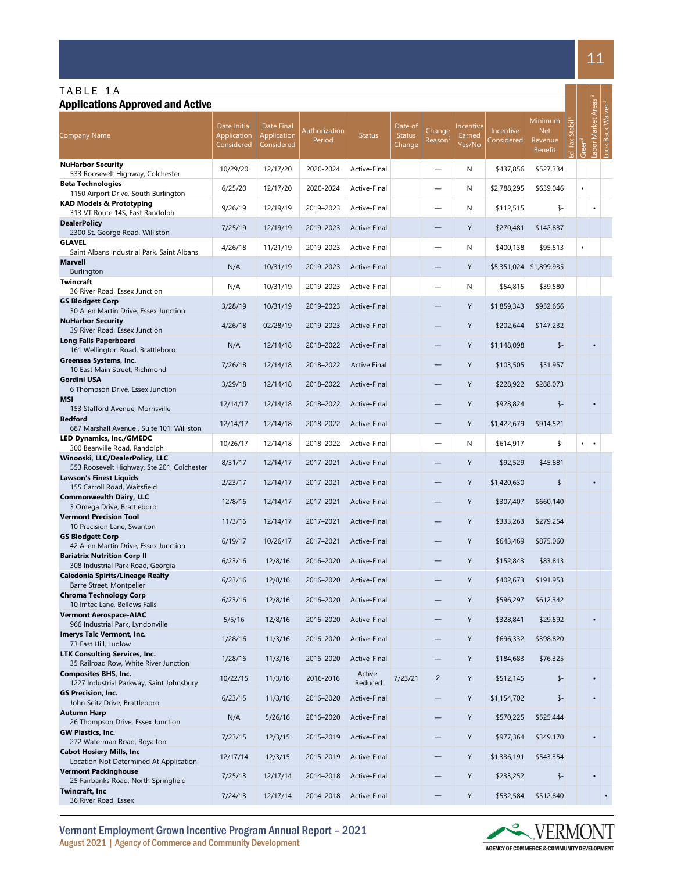| TABLE 1A<br><b>Applications Approved and Active</b>                           |                                                  |                                         |                         |                        |                                    |                               |                               |                                |                                                    |               |           |                  |                                          |
|-------------------------------------------------------------------------------|--------------------------------------------------|-----------------------------------------|-------------------------|------------------------|------------------------------------|-------------------------------|-------------------------------|--------------------------------|----------------------------------------------------|---------------|-----------|------------------|------------------------------------------|
| <b>Company Name</b>                                                           | Date Initial<br><b>Application</b><br>Considered | Date Final<br>Application<br>Considered | Authorization<br>Period | <b>Status</b>          | Date of<br><b>Status</b><br>Change | Change<br>Reason <sup>2</sup> | Incentive<br>Earned<br>Yes/No | <b>Incentive</b><br>Considered | Minimum<br><b>Net</b><br>Revenue<br><b>Benefit</b> | <b>Stabil</b> |           | bor Market Areas | <b>Back Waiver</b><br>$\overline{\circ}$ |
| <b>NuHarbor Security</b><br>533 Roosevelt Highway, Colchester                 | 10/29/20                                         | 12/17/20                                | 2020-2024               | Active-Final           |                                    |                               | N                             | \$437,856                      | \$527,334                                          |               |           |                  |                                          |
| <b>Beta Technologies</b><br>1150 Airport Drive, South Burlington              | 6/25/20                                          | 12/17/20                                | 2020-2024               | Active-Final           |                                    | —                             | N                             | \$2,788,295                    | \$639,046                                          |               | $\bullet$ |                  |                                          |
| <b>KAD Models &amp; Prototyping</b><br>313 VT Route 14S, East Randolph        | 9/26/19                                          | 12/19/19                                | 2019-2023               | Active-Final           |                                    |                               | N                             | \$112,515                      | \$-                                                |               |           | $\bullet$        |                                          |
| <b>DealerPolicy</b><br>2300 St. George Road, Williston                        | 7/25/19                                          | 12/19/19                                | 2019-2023               | Active-Final           |                                    |                               | Y                             | \$270,481                      | \$142,837                                          |               |           |                  |                                          |
| <b>GLAVEL</b>                                                                 | 4/26/18                                          | 11/21/19                                | 2019-2023               | Active-Final           |                                    |                               | N                             | \$400,138                      | \$95,513                                           |               | $\bullet$ |                  |                                          |
| Saint Albans Industrial Park, Saint Albans<br><b>Marvell</b>                  | N/A                                              | 10/31/19                                | 2019-2023               | Active-Final           |                                    |                               | Y                             |                                | \$5,351,024 \$1,899,935                            |               |           |                  |                                          |
| Burlington<br><b>Twincraft</b>                                                | N/A                                              | 10/31/19                                | 2019-2023               | Active-Final           |                                    |                               | N                             | \$54,815                       | \$39,580                                           |               |           |                  |                                          |
| 36 River Road, Essex Junction<br><b>GS Blodgett Corp</b>                      | 3/28/19                                          | 10/31/19                                | 2019-2023               | Active-Final           |                                    |                               | Y                             | \$1,859,343                    | \$952,666                                          |               |           |                  |                                          |
| 30 Allen Martin Drive, Essex Junction<br><b>NuHarbor Security</b>             | 4/26/18                                          | 02/28/19                                | 2019-2023               | Active-Final           |                                    |                               | Υ                             | \$202,644                      | \$147,232                                          |               |           |                  |                                          |
| 39 River Road, Essex Junction<br><b>Long Falls Paperboard</b>                 | N/A                                              | 12/14/18                                | 2018-2022               | Active-Final           |                                    | $\overline{\phantom{0}}$      | Υ                             | \$1,148,098                    | $$ -$                                              |               |           |                  |                                          |
| 161 Wellington Road, Brattleboro<br>Greensea Systems, Inc.                    |                                                  |                                         | 2018-2022               |                        |                                    |                               | Y                             |                                |                                                    |               |           |                  |                                          |
| 10 East Main Street, Richmond<br><b>Gordini USA</b>                           | 7/26/18                                          | 12/14/18                                |                         | <b>Active Final</b>    |                                    | $\overline{\phantom{0}}$      |                               | \$103,505                      | \$51,957                                           |               |           |                  |                                          |
| 6 Thompson Drive, Essex Junction<br><b>MSI</b>                                | 3/29/18                                          | 12/14/18                                | 2018-2022               | Active-Final           |                                    |                               | Y                             | \$228,922                      | \$288,073                                          |               |           |                  |                                          |
| 153 Stafford Avenue, Morrisville<br><b>Bedford</b>                            | 12/14/17                                         | 12/14/18                                | 2018-2022               | Active-Final           |                                    |                               | Υ                             | \$928,824                      | $$ -$                                              |               |           |                  |                                          |
| 687 Marshall Avenue, Suite 101, Williston                                     | 12/14/17                                         | 12/14/18                                | 2018-2022               | Active-Final           |                                    | $\overline{\phantom{0}}$      | Y                             | \$1,422,679                    | \$914,521                                          |               |           |                  |                                          |
| <b>LED Dynamics, Inc./GMEDC</b><br>300 Beanville Road, Randolph               | 10/26/17                                         | 12/14/18                                | 2018-2022               | Active-Final           |                                    | —                             | N                             | \$614,917                      | \$-                                                |               |           | $\bullet$        |                                          |
| Winooski, LLC/DealerPolicy, LLC<br>553 Roosevelt Highway, Ste 201, Colchester | 8/31/17                                          | 12/14/17                                | 2017-2021               | Active-Final           |                                    |                               | Υ                             | \$92,529                       | \$45,881                                           |               |           |                  |                                          |
| <b>Lawson's Finest Liquids</b><br>155 Carroll Road, Waitsfield                | 2/23/17                                          | 12/14/17                                | 2017-2021               | Active-Final           |                                    | —                             | Υ                             | \$1,420,630                    | $$ -$                                              |               |           |                  |                                          |
| <b>Commonwealth Dairy, LLC</b><br>3 Omega Drive, Brattleboro                  | 12/8/16                                          | 12/14/17                                | 2017-2021               | Active-Final           |                                    |                               | Υ                             | \$307,407                      | \$660,140                                          |               |           |                  |                                          |
| <b>Vermont Precision Tool</b><br>10 Precision Lane, Swanton                   | 11/3/16                                          | 12/14/17                                | 2017-2021               | Active-Final           |                                    |                               | Υ                             | \$333,263                      | \$279,254                                          |               |           |                  |                                          |
| <b>GS Blodgett Corp</b><br>42 Allen Martin Drive, Essex Junction              | 6/19/17                                          | 10/26/17                                | 2017-2021               | Active-Final           |                                    |                               | Υ                             | \$643,469                      | \$875,060                                          |               |           |                  |                                          |
| <b>Bariatrix Nutrition Corp II</b><br>308 Industrial Park Road, Georgia       | 6/23/16                                          | 12/8/16                                 |                         | 2016-2020 Active-Final |                                    |                               | Y                             | \$152,843                      | \$83,813                                           |               |           |                  |                                          |
| <b>Caledonia Spirits/Lineage Realty</b>                                       | 6/23/16                                          | 12/8/16                                 | 2016-2020               | Active-Final           |                                    |                               | Y                             | \$402,673                      | \$191,953                                          |               |           |                  |                                          |
| Barre Street, Montpelier<br><b>Chroma Technology Corp</b>                     | 6/23/16                                          | 12/8/16                                 | 2016-2020               | Active-Final           |                                    |                               | Y                             | \$596,297                      | \$612,342                                          |               |           |                  |                                          |
| 10 Imtec Lane, Bellows Falls<br><b>Vermont Aerospace-AIAC</b>                 | 5/5/16                                           | 12/8/16                                 | 2016-2020               | Active-Final           |                                    |                               | Υ                             | \$328,841                      | \$29,592                                           |               |           | $\bullet$        |                                          |
| 966 Industrial Park, Lyndonville<br>Imerys Talc Vermont, Inc.                 | 1/28/16                                          | 11/3/16                                 | 2016-2020               | Active-Final           |                                    | $\overline{\phantom{0}}$      | Υ                             | \$696,332                      | \$398,820                                          |               |           |                  |                                          |
| 73 East Hill, Ludlow<br><b>LTK Consulting Services, Inc.</b>                  | 1/28/16                                          | 11/3/16                                 | 2016-2020               | Active-Final           |                                    |                               | Υ                             | \$184,683                      | \$76,325                                           |               |           |                  |                                          |
| 35 Railroad Row, White River Junction<br><b>Composites BHS, Inc.</b>          |                                                  |                                         |                         | Active-                |                                    |                               |                               |                                |                                                    |               |           | $\bullet$        |                                          |
| 1227 Industrial Parkway, Saint Johnsbury<br><b>GS Precision, Inc.</b>         | 10/22/15                                         | 11/3/16                                 | 2016-2016               | Reduced                | 7/23/21                            | $\overline{2}$                | Y                             | \$512,145                      | $$ -$                                              |               |           |                  |                                          |
| John Seitz Drive, Brattleboro<br><b>Autumn Harp</b>                           | 6/23/15                                          | 11/3/16                                 | 2016-2020               | Active-Final           |                                    | $\qquad \qquad -$             | Υ                             | \$1,154,702                    | $$ -$                                              |               |           | $\bullet$        |                                          |
| 26 Thompson Drive, Essex Junction<br>GW Plastics, Inc.                        | N/A                                              | 5/26/16                                 | 2016-2020               | Active-Final           |                                    | $\overline{\phantom{0}}$      | Y                             | \$570,225                      | \$525,444                                          |               |           |                  |                                          |
| 272 Waterman Road, Royalton                                                   | 7/23/15                                          | 12/3/15                                 | 2015-2019               | Active-Final           |                                    | $\overline{\phantom{0}}$      | Y                             | \$977,364                      | \$349,170                                          |               |           | $\bullet$        |                                          |
| <b>Cabot Hosiery Mills, Inc.</b><br>Location Not Determined At Application    | 12/17/14                                         | 12/3/15                                 | 2015-2019               | Active-Final           |                                    | $\qquad \qquad -$             | Y                             | \$1,336,191                    | \$543,354                                          |               |           |                  |                                          |
| <b>Vermont Packinghouse</b><br>25 Fairbanks Road, North Springfield           | 7/25/13                                          | 12/17/14                                | 2014-2018               | Active-Final           |                                    | $\overline{\phantom{0}}$      | Y                             | \$233,252                      | $$ -$                                              |               |           | $\bullet$        |                                          |
| Twincraft, Inc<br>36 River Road, Essex                                        | 7/24/13                                          | 12/17/14                                | 2014-2018               | Active-Final           |                                    |                               | Υ                             | \$532,584                      | \$512,840                                          |               |           |                  |                                          |

Vermont Employment Grown Incentive Program Annual Report – 2021 August 2021 | Agency of Commerce and Community Development

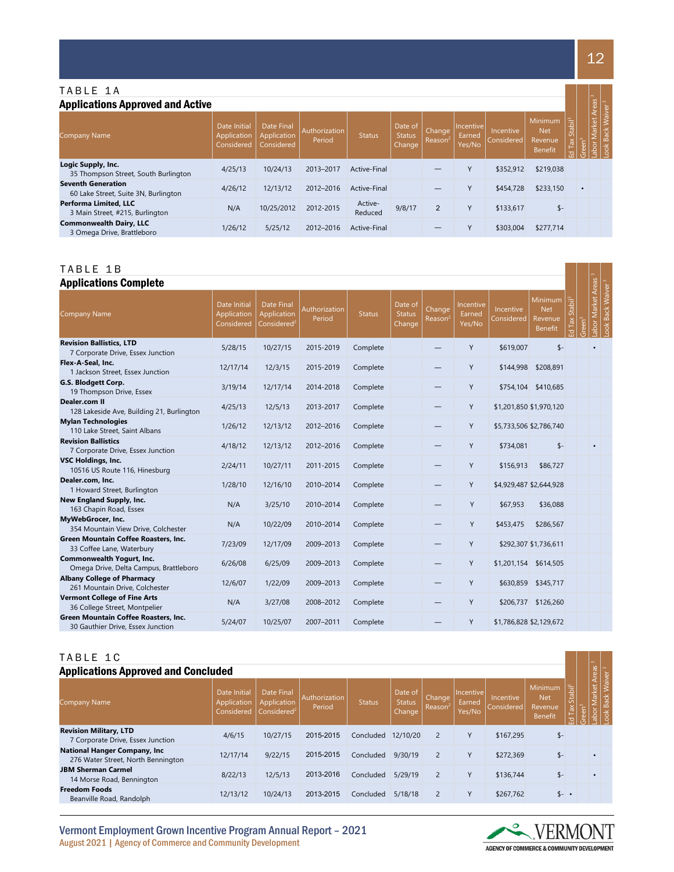# TABLE 1 A

| <b>Applications Approved and Active</b>                           |                                           |                                         |                         |                    |                                    |                               |                               |                         |                                             |                                   |                  | Areas  |  |
|-------------------------------------------------------------------|-------------------------------------------|-----------------------------------------|-------------------------|--------------------|------------------------------------|-------------------------------|-------------------------------|-------------------------|---------------------------------------------|-----------------------------------|------------------|--------|--|
| <b>Company Name</b>                                               | Date Initial<br>Application<br>Considered | Date Final<br>Application<br>Considered | Authorization<br>Period | <b>Status</b>      | Date of<br><b>Status</b><br>Change | Change<br>Reason <sup>2</sup> | Incentive<br>Earned<br>Yes/No | Incentive<br>Considered | Minimum<br><b>Net</b><br>Revenue<br>Benefit | Stabil <sup>3</sup><br><b>Tax</b> | een <sup>3</sup> | larket |  |
| Logic Supply, Inc.<br>35 Thompson Street, South Burlington        | 4/25/13                                   | 10/24/13                                | 2013-2017               | Active-Final       |                                    | –                             | Υ                             | \$352,912               | \$219,038                                   |                                   |                  |        |  |
| <b>Seventh Generation</b><br>60 Lake Street, Suite 3N, Burlington | 4/26/12                                   | 12/13/12                                | 2012-2016               | Active-Final       |                                    | –                             | Υ                             | \$454,728               | \$233,150                                   |                                   | $\bullet$        |        |  |
| <b>Performa Limited, LLC</b><br>3 Main Street, #215, Burlington   | N/A                                       | 10/25/2012                              | 2012-2015               | Active-<br>Reduced | 9/8/17                             | $\overline{2}$                | Y                             | \$133,617               | \$-                                         |                                   |                  |        |  |
| <b>Commonwealth Dairy, LLC</b><br>3 Omega Drive, Brattleboro      | 1/26/12                                   | 5/25/12                                 | 2012-2016               | Active-Final       |                                    |                               |                               | \$303,004               | \$277,714                                   |                                   |                  |        |  |

# TABLE 1 B

#### Applications Complete

| <b>Applications Complete</b>                                              |                                           |                                                             |                         |               |                                    |                               |                               |                         |                                                           |                     |                   |                   |                                 |
|---------------------------------------------------------------------------|-------------------------------------------|-------------------------------------------------------------|-------------------------|---------------|------------------------------------|-------------------------------|-------------------------------|-------------------------|-----------------------------------------------------------|---------------------|-------------------|-------------------|---------------------------------|
| Company Name                                                              | Date Initial<br>Application<br>Considered | <b>Date Final</b><br>Application<br>Considered <sup>2</sup> | Authorization<br>Period | <b>Status</b> | Date of<br><b>Status</b><br>Change | Change<br>Reason <sup>2</sup> | Incentive<br>Earned<br>Yes/No | Incentive<br>Considered | <b>Minimum</b><br><b>Net</b><br>Revenue<br><b>Benefit</b> | Stabil <sup>3</sup> | reen <sup>3</sup> | abor Market Areas | Back Waiver <sup>3</sup><br>ook |
| <b>Revision Ballistics, LTD</b><br>7 Corporate Drive, Essex Junction      | 5/28/15                                   | 10/27/15                                                    | 2015-2019               | Complete      |                                    |                               | Y                             | \$619,007               | $S -$                                                     |                     |                   | $\bullet$         |                                 |
| Flex-A-Seal, Inc.<br>1 Jackson Street, Essex Junction                     | 12/17/14                                  | 12/3/15                                                     | 2015-2019               | Complete      |                                    |                               | Y                             | \$144,998               | \$208,891                                                 |                     |                   |                   |                                 |
| G.S. Blodgett Corp.<br>19 Thompson Drive, Essex                           | 3/19/14                                   | 12/17/14                                                    | 2014-2018               | Complete      |                                    |                               | Y                             |                         | \$754,104 \$410,685                                       |                     |                   |                   |                                 |
| Dealer.com II<br>128 Lakeside Ave, Building 21, Burlington                | 4/25/13                                   | 12/5/13                                                     | 2013-2017               | Complete      |                                    |                               | Y                             |                         | \$1,201,850 \$1,970,120                                   |                     |                   |                   |                                 |
| <b>Mylan Technologies</b><br>110 Lake Street, Saint Albans                | 1/26/12                                   | 12/13/12                                                    | 2012-2016               | Complete      |                                    |                               | Y                             |                         | \$5,733,506 \$2,786,740                                   |                     |                   |                   |                                 |
| <b>Revision Ballistics</b><br>7 Corporate Drive, Essex Junction           | 4/18/12                                   | 12/13/12                                                    | 2012-2016               | Complete      |                                    |                               | Y                             | \$734,081               | $$ -$                                                     |                     |                   |                   |                                 |
| <b>VSC Holdings, Inc.</b><br>10516 US Route 116, Hinesburg                | 2/24/11                                   | 10/27/11                                                    | 2011-2015               | Complete      |                                    |                               | Y                             | \$156,913               | \$86,727                                                  |                     |                   |                   |                                 |
| Dealer.com. Inc.<br>1 Howard Street, Burlington                           | 1/28/10                                   | 12/16/10                                                    | 2010-2014               | Complete      |                                    |                               | Y                             |                         | \$4,929,487 \$2,644,928                                   |                     |                   |                   |                                 |
| New England Supply, Inc.<br>163 Chapin Road, Essex                        | N/A                                       | 3/25/10                                                     | 2010-2014               | Complete      |                                    |                               | Y                             | \$67,953                | \$36,088                                                  |                     |                   |                   |                                 |
| MyWebGrocer, Inc.<br>354 Mountain View Drive, Colchester                  | N/A                                       | 10/22/09                                                    | 2010-2014               | Complete      |                                    |                               | Y                             | \$453,475               | \$286,567                                                 |                     |                   |                   |                                 |
| Green Mountain Coffee Roasters, Inc.<br>33 Coffee Lane, Waterbury         | 7/23/09                                   | 12/17/09                                                    | 2009-2013               | Complete      |                                    |                               | Y                             |                         | \$292,307 \$1,736,611                                     |                     |                   |                   |                                 |
| Commonwealth Yogurt, Inc.<br>Omega Drive, Delta Campus, Brattleboro       | 6/26/08                                   | 6/25/09                                                     | 2009-2013               | Complete      |                                    | —                             | Y                             | \$1,201,154             | \$614,505                                                 |                     |                   |                   |                                 |
| <b>Albany College of Pharmacy</b><br>261 Mountain Drive, Colchester       | 12/6/07                                   | 1/22/09                                                     | 2009-2013               | Complete      |                                    |                               | Y                             | \$630,859               | \$345,717                                                 |                     |                   |                   |                                 |
| <b>Vermont College of Fine Arts</b><br>36 College Street, Montpelier      | N/A                                       | 3/27/08                                                     | 2008-2012               | Complete      |                                    | —                             | Y                             |                         | \$206,737 \$126,260                                       |                     |                   |                   |                                 |
| Green Mountain Coffee Roasters, Inc.<br>30 Gauthier Drive, Essex Junction | 5/24/07                                   | 10/25/07                                                    | 2007-2011               | Complete      |                                    |                               | Y                             |                         | \$1,786,828 \$2,129,672                                   |                     |                   |                   |                                 |

# TABLE 1C

| TABLE 1C                                                           |                                           |                                                      |                         |               |                                    |                               |                               |                         |                                             |                                      |            | $\infty$       |                   |
|--------------------------------------------------------------------|-------------------------------------------|------------------------------------------------------|-------------------------|---------------|------------------------------------|-------------------------------|-------------------------------|-------------------------|---------------------------------------------|--------------------------------------|------------|----------------|-------------------|
| <b>Applications Approved and Concluded</b>                         |                                           |                                                      |                         |               |                                    |                               |                               |                         |                                             |                                      |            | <b>Areas</b>   |                   |
| <b>Company Name</b>                                                | Date Initial<br>Application<br>Considered | Date Final<br>Application<br>Considered <sup>2</sup> | Authorization<br>Period | <b>Status</b> | Date of<br><b>Status</b><br>Change | Change<br>Reason <sup>2</sup> | Incentive<br>Earned<br>Yes/No | Incentive<br>Considered | Minimum<br><b>Net</b><br>Revenue<br>Benefit | Stabil <sup>3</sup><br>$\frac{3}{2}$ | <b>een</b> | larket<br>abor | ≲.<br>Bacl<br>ook |
| <b>Revision Military, LTD</b><br>7 Corporate Drive, Essex Junction | 4/6/15                                    | 10/27/15                                             | 2015-2015               | Concluded     | 12/10/20                           | $\overline{2}$                | Y                             | \$167.295               | \$-                                         |                                      |            |                |                   |
| National Hanger Company, Inc<br>276 Water Street, North Bennington | 12/17/14                                  | 9/22/15                                              | 2015-2015               | Concluded     | 9/30/19                            | $\overline{2}$                | Y                             | \$272.369               | $$ -$                                       |                                      |            | $\bullet$      |                   |
| <b>JBM Sherman Carmel</b><br>14 Morse Road, Bennington             | 8/22/13                                   | 12/5/13                                              | 2013-2016               | Concluded     | 5/29/19                            | $\overline{2}$                | Y                             | \$136.744               | \$-                                         |                                      |            |                |                   |
| <b>Freedom Foods</b><br>Beanville Road, Randolph                   | 12/13/12                                  | 10/24/13                                             | 2013-2015               | Concluded     | 5/18/18                            | $\overline{2}$                | Y                             | \$267.762               | $s -$ .                                     |                                      |            |                |                   |

Vermont Employment Grown Incentive Program Annual Report – 2021 August 2021 | Agency of Commerce and Community Development



12

an kalendar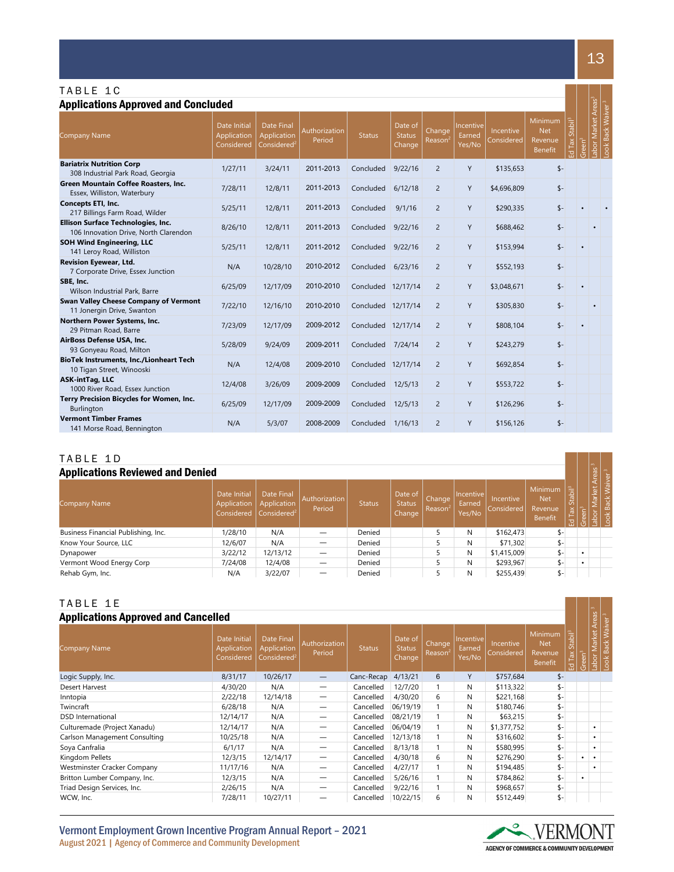| TABLE 1C                                                                    |                                           |                                                                      |                         |                    |                                    |                               |                               |                         |                                                    |                    |                   |                   |                          |
|-----------------------------------------------------------------------------|-------------------------------------------|----------------------------------------------------------------------|-------------------------|--------------------|------------------------------------|-------------------------------|-------------------------------|-------------------------|----------------------------------------------------|--------------------|-------------------|-------------------|--------------------------|
| <b>Applications Approved and Concluded</b>                                  |                                           |                                                                      |                         |                    |                                    |                               |                               |                         |                                                    |                    |                   |                   |                          |
| <b>Company Name</b>                                                         | Date Initial<br>Application<br>Considered | <b>Date Final</b><br>Application<br>$\overline{\text{Considered}}^2$ | Authorization<br>Period | <b>Status</b>      | Date of<br><b>Status</b><br>Change | Change<br>Reason <sup>2</sup> | Incentive<br>Earned<br>Yes/No | Incentive<br>Considered | Minimum<br><b>Net</b><br>Revenue<br><b>Benefit</b> | Stabi <sup>3</sup> | reen <sup>3</sup> | abor Market Areas | <b>Back Waiver</b><br>ð. |
| <b>Bariatrix Nutrition Corp</b><br>308 Industrial Park Road, Georgia        | 1/27/11                                   | 3/24/11                                                              | 2011-2013               | Concluded          | 9/22/16                            | $\overline{2}$                | Y                             | \$135,653               | $$ -$                                              |                    |                   |                   |                          |
| <b>Green Mountain Coffee Roasters, Inc.</b><br>Essex, Williston, Waterbury  | 7/28/11                                   | 12/8/11                                                              | 2011-2013               | Concluded          | 6/12/18                            | $\overline{2}$                | Y                             | \$4,696,809             | $s-$                                               |                    |                   |                   |                          |
| <b>Concepts ETI, Inc.</b><br>217 Billings Farm Road, Wilder                 | 5/25/11                                   | 12/8/11                                                              | 2011-2013               | Concluded          | 9/1/16                             | $\overline{2}$                | Y                             | \$290,335               | $s-$                                               |                    |                   |                   |                          |
| Ellison Surface Technologies, Inc.<br>106 Innovation Drive, North Clarendon | 8/26/10                                   | 12/8/11                                                              | 2011-2013               | Concluded          | 9/22/16                            | $\overline{2}$                | Y                             | \$688,462               | $$ -$                                              |                    |                   |                   |                          |
| <b>SOH Wind Engineering, LLC</b><br>141 Leroy Road, Williston               | 5/25/11                                   | 12/8/11                                                              | 2011-2012               | Concluded          | 9/22/16                            | $\overline{2}$                | Y                             | \$153,994               | $$ -$                                              |                    |                   |                   |                          |
| <b>Revision Eyewear, Ltd.</b><br>7 Corporate Drive, Essex Junction          | N/A                                       | 10/28/10                                                             | 2010-2012               | Concluded          | 6/23/16                            | $\overline{2}$                | Y                             | \$552,193               | $s-$                                               |                    |                   |                   |                          |
| SBE, Inc.<br>Wilson Industrial Park, Barre                                  | 6/25/09                                   | 12/17/09                                                             | 2010-2010               | Concluded 12/17/14 |                                    | $\overline{2}$                | Y                             | \$3,048,671             | $$ -$                                              |                    |                   |                   |                          |
| Swan Valley Cheese Company of Vermont<br>11 Jonergin Drive, Swanton         | 7/22/10                                   | 12/16/10                                                             | 2010-2010               | Concluded 12/17/14 |                                    | $\overline{2}$                | Y                             | \$305,830               | $s-$                                               |                    |                   |                   |                          |
| Northern Power Systems, Inc.<br>29 Pitman Road, Barre                       | 7/23/09                                   | 12/17/09                                                             | 2009-2012               | Concluded 12/17/14 |                                    | $\overline{2}$                | Y                             | \$808,104               | $s-$                                               |                    |                   |                   |                          |
| AirBoss Defense USA, Inc.<br>93 Gonyeau Road, Milton                        | 5/28/09                                   | 9/24/09                                                              | 2009-2011               | Concluded          | 7/24/14                            | $\overline{2}$                | Y                             | \$243,279               | $s-$                                               |                    |                   |                   |                          |
| <b>BioTek Instruments, Inc./Lionheart Tech</b><br>10 Tigan Street, Winooski | N/A                                       | 12/4/08                                                              | 2009-2010               | Concluded 12/17/14 |                                    | $\overline{2}$                | Y                             | \$692,854               | $s-$                                               |                    |                   |                   |                          |
| <b>ASK-intTag, LLC</b><br>1000 River Road, Essex Junction                   | 12/4/08                                   | 3/26/09                                                              | 2009-2009               | Concluded          | 12/5/13                            | $\overline{2}$                | Y                             | \$553,722               | $$ -$                                              |                    |                   |                   |                          |
| Terry Precision Bicycles for Women, Inc.<br>Burlington                      | 6/25/09                                   | 12/17/09                                                             | 2009-2009               | Concluded          | 12/5/13                            | $\overline{2}$                | Y                             | \$126,296               | $$ -$                                              |                    |                   |                   |                          |
| <b>Vermont Timber Frames</b><br>141 Morse Road, Bennington                  | N/A                                       | 5/3/07                                                               | 2008-2009               | Concluded          | 1/16/13                            | $\overline{2}$                | Y                             | \$156.126               | $s-$                                               |                    |                   |                   |                          |

## TABLE 1 D

| <b>Applications Reviewed and Denied</b> |                                           |                                                      |                          |               |                                    |                               |                               |                                    |                                                    |                           | reas      |       |  |
|-----------------------------------------|-------------------------------------------|------------------------------------------------------|--------------------------|---------------|------------------------------------|-------------------------------|-------------------------------|------------------------------------|----------------------------------------------------|---------------------------|-----------|-------|--|
| Company Name                            | Date Initial<br>Application<br>Considered | Date Final<br>Application<br>Considered <sup>2</sup> | Authorization<br>Period  | <b>Status</b> | Date of<br><b>Status</b><br>Change | Change<br>Reason <sup>2</sup> | Incentive<br>Earned<br>Yes/No | <b>Incentive</b><br>l Considered l | <b>Minimum</b><br><b>Net</b><br>Revenue<br>Benefit | Stabil <sup>3</sup><br>λŘ |           | arket |  |
| Business Financial Publishing, Inc.     | 1/28/10                                   | N/A                                                  |                          | Denied        |                                    |                               | N                             | \$162,473                          |                                                    |                           |           |       |  |
| Know Your Source, LLC                   | 12/6/07                                   | N/A                                                  |                          | Denied        |                                    |                               | N                             | \$71,302                           |                                                    |                           |           |       |  |
| Dynapower                               | 3/22/12                                   | 12/13/12                                             | $\overline{\phantom{0}}$ | Denied        |                                    |                               | N                             | \$1,415,009                        |                                                    |                           | $\bullet$ |       |  |
| Vermont Wood Energy Corp                | 7/24/08                                   | 12/4/08                                              | —                        | Denied        |                                    |                               | N                             | \$293,967                          |                                                    |                           |           |       |  |
| Rehab Gym, Inc.                         | N/A                                       | 3/22/07                                              |                          | Denied        |                                    |                               | N                             | \$255,439                          | $S-$                                               |                           |           |       |  |

### TABLE 1E

| <b>Applications Approved and Cancelled</b> |                                           |                                                      |                                 |               |                                    |                                      |                               |                         |                                                    |                                                       |                   |                         |          |
|--------------------------------------------|-------------------------------------------|------------------------------------------------------|---------------------------------|---------------|------------------------------------|--------------------------------------|-------------------------------|-------------------------|----------------------------------------------------|-------------------------------------------------------|-------------------|-------------------------|----------|
| <b>Company Name</b>                        | Date Initial<br>Application<br>Considered | Date Final<br>Application<br>Considered <sup>2</sup> | Authorization<br>Period         | <b>Status</b> | Date of<br><b>Status</b><br>Change | <b>Change</b><br>Reason <sup>2</sup> | Incentive<br>Earned<br>Yes/No | Incentive<br>Considered | Minimum<br><b>Net</b><br>Revenue<br><b>Benefit</b> | $Stabi\mathbb{I}^3$<br>Tax<br>$\overline{\mathbf{C}}$ | reen <sup>3</sup> | Market Areas<br>$ab$ or | $\infty$ |
| Logic Supply, Inc.                         | 8/31/17                                   | 10/26/17                                             | $\hspace{0.1mm}-\hspace{0.1mm}$ | Canc-Recap    | 4/13/21                            | 6                                    | Y                             | \$757,684               | $$ -$                                              |                                                       |                   |                         |          |
| Desert Harvest                             | 4/30/20                                   | N/A                                                  | $\overline{\phantom{0}}$        | Cancelled     | 12/7/20                            |                                      | N                             | \$113,322               | \$-                                                |                                                       |                   |                         |          |
| Inntopia                                   | 2/22/18                                   | 12/14/18                                             | $\overline{\phantom{0}}$        | Cancelled     | 4/30/20                            | 6                                    | N                             | \$221,168               | $$-$                                               |                                                       |                   |                         |          |
| Twincraft                                  | 6/28/18                                   | N/A                                                  |                                 | Cancelled     | 06/19/19                           |                                      | N                             | \$180,746               | $$ -$                                              |                                                       |                   |                         |          |
| <b>DSD</b> International                   | 12/14/17                                  | N/A                                                  | —                               | Cancelled     | 08/21/19                           |                                      | N                             | \$63,215                | $$ -$                                              |                                                       |                   |                         |          |
| Culturemade (Project Xanadu)               | 12/14/17                                  | N/A                                                  |                                 | Cancelled     | 06/04/19                           |                                      | N                             | \$1,377,752             | $S-$                                               |                                                       |                   | $\bullet$               |          |
| Carlson Management Consulting              | 10/25/18                                  | N/A                                                  | —                               | Cancelled     | 12/13/18                           |                                      | N                             | \$316,602               | $S-$                                               |                                                       |                   | $\bullet$               |          |
| Soya Canfralia                             | 6/1/17                                    | N/A                                                  | —                               | Cancelled     | 8/13/18                            |                                      | N                             | \$580,995               | $$-$                                               |                                                       |                   | $\bullet$               |          |
| Kingdom Pellets                            | 12/3/15                                   | 12/14/17                                             | —                               | Cancelled     | 4/30/18                            | 6                                    | N                             | \$276,290               | $$-$                                               |                                                       | ٠                 | $\bullet$               |          |
| Westminster Cracker Company                | 11/17/16                                  | N/A                                                  |                                 | Cancelled     | 4/27/17                            |                                      | N                             | \$194,485               | $$-$                                               |                                                       |                   | $\bullet$               |          |
| Britton Lumber Company, Inc.               | 12/3/15                                   | N/A                                                  |                                 | Cancelled     | 5/26/16                            |                                      | N                             | \$784,862               | $$-$                                               |                                                       | ٠                 |                         |          |
| Triad Design Services, Inc.                | 2/26/15                                   | N/A                                                  |                                 | Cancelled     | 9/22/16                            |                                      | N                             | \$968,657               | \$-                                                |                                                       |                   |                         |          |
| WCW, Inc.                                  | 7/28/11                                   | 10/27/11                                             |                                 | Cancelled     | 10/22/15                           | 6                                    | N                             | \$512,449               | \$-                                                |                                                       |                   |                         |          |

Vermont Employment Grown Incentive Program Annual Report – 2021 August 2021 | Agency of Commerce and Community Development



13

a da kasa

 $\begin{array}{|c|c|c|c|c|}\hline \text{ } & \text{ } & \text{ } \end{array}$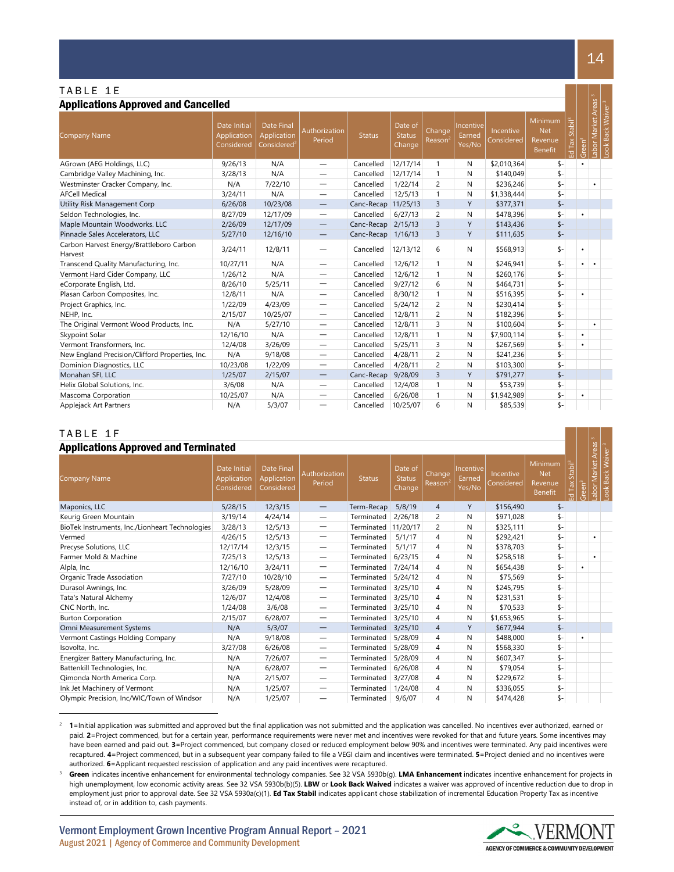## Applications Approved and Cancelled

| <b>Applications Approved and Cancelled</b>          |                                           |                                                             |                                 |                     |                             |                  |                                      |                         |                                             |                         |           | Areas       |                                     |
|-----------------------------------------------------|-------------------------------------------|-------------------------------------------------------------|---------------------------------|---------------------|-----------------------------|------------------|--------------------------------------|-------------------------|---------------------------------------------|-------------------------|-----------|-------------|-------------------------------------|
| <b>Company Name</b>                                 | Date Initial<br>Application<br>Considered | <b>Date Final</b><br>Application<br>Considered <sup>2</sup> | Authorization<br>Period         | <b>Status</b>       | Date of<br>Status<br>Change | Change<br>Reason | <b>Incentive</b><br>Earned<br>Yes/No | Incentive<br>Considered | Minimum<br><b>Net</b><br>Revenue<br>Benefit | Stabi <sup>3</sup><br>흢 | ەت<br>ت   | abor Market | <b>Back Waiver</b><br>$\frac{1}{2}$ |
| AGrown (AEG Holdings, LLC)                          | 9/26/13                                   | N/A                                                         | $\qquad \qquad -$               | Cancelled           | 12/17/14                    | $\mathbf{1}$     | N                                    | \$2,010,364             | \$-                                         |                         | ٠         |             |                                     |
| Cambridge Valley Machining, Inc.                    | 3/28/13                                   | N/A                                                         |                                 | Cancelled           | 12/17/14                    | $\mathbf{1}$     | N                                    | \$140,049               | \$-                                         |                         |           |             |                                     |
| Westminster Cracker Company, Inc.                   | N/A                                       | 7/22/10                                                     | $\qquad \qquad -$               | Cancelled           | 1/22/14                     | $\overline{c}$   | N                                    | \$236,246               | \$-                                         |                         |           | ٠           |                                     |
| <b>AFCell Medical</b>                               | 3/24/11                                   | N/A                                                         | $\overbrace{\phantom{1232211}}$ | Cancelled           | 12/5/13                     | $\mathbf{1}$     | N                                    | \$1,338,444             | \$-                                         |                         |           |             |                                     |
| Utility Risk Management Corp                        | 6/26/08                                   | 10/23/08                                                    | $\qquad \qquad -$               | Canc-Recap 11/25/13 |                             | 3                | Y                                    | \$377,371               | $$ -$                                       |                         |           |             |                                     |
| Seldon Technologies, Inc.                           | 8/27/09                                   | 12/17/09                                                    |                                 | Cancelled           | 6/27/13                     | $\overline{c}$   | N                                    | \$478,396               | \$-                                         |                         | $\bullet$ |             |                                     |
| Maple Mountain Woodworks. LLC                       | 2/26/09                                   | 12/17/09                                                    | $\overline{\phantom{0}}$        | Canc-Recap          | 2/15/13                     | 3                | Y                                    | \$143,436               | $s-$                                        |                         |           |             |                                     |
| Pinnacle Sales Accelerators, LLC                    | 5/27/10                                   | 12/16/10                                                    | $\qquad \qquad -$               | Canc-Recap          | 1/16/13                     | 3                | Y                                    | \$111,635               | $$ -$                                       |                         |           |             |                                     |
| Carbon Harvest Energy/Brattleboro Carbon<br>Harvest | 3/24/11                                   | 12/8/11                                                     |                                 | Cancelled           | 12/13/12                    | 6                | N                                    | \$568,913               | \$-                                         |                         | $\bullet$ |             |                                     |
| Transcend Quality Manufacturing, Inc.               | 10/27/11                                  | N/A                                                         | $\overline{\phantom{0}}$        | Cancelled           | 12/6/12                     | $\mathbf{1}$     | N                                    | \$246,941               | $$-$                                        |                         | ٠         |             |                                     |
| Vermont Hard Cider Company, LLC                     | 1/26/12                                   | N/A                                                         | $\overline{\phantom{0}}$        | Cancelled           | 12/6/12                     | $\mathbf{1}$     | N                                    | \$260,176               | $$-$                                        |                         |           |             |                                     |
| eCorporate English, Ltd.                            | 8/26/10                                   | 5/25/11                                                     | -                               | Cancelled           | 9/27/12                     | 6                | N                                    | \$464,731               | $$-$                                        |                         |           |             |                                     |
| Plasan Carbon Composites, Inc.                      | 12/8/11                                   | N/A                                                         | $\hspace{0.1mm}-\hspace{0.1mm}$ | Cancelled           | 8/30/12                     | $\mathbf{1}$     | N                                    | \$516,395               | $$-$                                        |                         | $\bullet$ |             |                                     |
| Project Graphics, Inc.                              | 1/22/09                                   | 4/23/09                                                     | $\overline{\phantom{0}}$        | Cancelled           | 5/24/12                     | $\overline{2}$   | N                                    | \$230,414               | \$-                                         |                         |           |             |                                     |
| NEHP, Inc.                                          | 2/15/07                                   | 10/25/07                                                    | $\overline{\phantom{0}}$        | Cancelled           | 12/8/11                     | $\overline{c}$   | N                                    | \$182,396               | $$-$                                        |                         |           |             |                                     |
| The Original Vermont Wood Products, Inc.            | N/A                                       | 5/27/10                                                     | $\overbrace{\phantom{1232211}}$ | Cancelled           | 12/8/11                     | 3                | N                                    | \$100,604               | \$-                                         |                         |           | $\bullet$   |                                     |
| Skypoint Solar                                      | 12/16/10                                  | N/A                                                         | $\overline{\phantom{0}}$        | Cancelled           | 12/8/11                     | $\mathbf{1}$     | N                                    | \$7,900,114             | \$-                                         |                         | $\bullet$ |             |                                     |
| Vermont Transformers, Inc.                          | 12/4/08                                   | 3/26/09                                                     | $\qquad \qquad -$               | Cancelled           | 5/25/11                     | 3                | N                                    | \$267,569               | \$-                                         |                         | ٠         |             |                                     |
| New England Precision/Clifford Properties, Inc.     | N/A                                       | 9/18/08                                                     | $\overline{\phantom{0}}$        | Cancelled           | 4/28/11                     | $\overline{c}$   | N                                    | \$241,236               | $$-$                                        |                         |           |             |                                     |
| Dominion Diagnostics, LLC                           | 10/23/08                                  | 1/22/09                                                     | $\overline{\phantom{0}}$        | Cancelled           | 4/28/11                     | $\overline{c}$   | N                                    | \$103,300               | $\mathsf{s}$ -                              |                         |           |             |                                     |
| Monahan SFI, LLC                                    | 1/25/07                                   | 2/15/07                                                     | $\overline{\phantom{m}}$        | Canc-Recap          | 9/28/09                     | 3                | Y                                    | \$791,277               | $$ -$                                       |                         |           |             |                                     |
| Helix Global Solutions, Inc.                        | 3/6/08                                    | N/A                                                         | $\overline{\phantom{0}}$        | Cancelled           | 12/4/08                     | $\mathbf{1}$     | N                                    | \$53,739                | \$-                                         |                         |           |             |                                     |
| Mascoma Corporation                                 | 10/25/07                                  | N/A                                                         |                                 | Cancelled           | 6/26/08                     | $\mathbf{1}$     | N                                    | \$1,942,989             | \$-                                         |                         | ٠         |             |                                     |
| Applejack Art Partners                              | N/A                                       | 5/3/07                                                      | $\overline{\phantom{0}}$        | Cancelled           | 10/25/07                    | 6                | N                                    | \$85,539                | $s-$                                        |                         |           |             |                                     |

## TABLE 1 F

| <b>Applications Approved and Terminated</b>     |                                           |                                                |                                  |               |                                    |                   |                               |                         |                                             |                          |           | Areas         |                                     |
|-------------------------------------------------|-------------------------------------------|------------------------------------------------|----------------------------------|---------------|------------------------------------|-------------------|-------------------------------|-------------------------|---------------------------------------------|--------------------------|-----------|---------------|-------------------------------------|
| <b>Company Name</b>                             | Date Initial<br>Application<br>Considered | Date Final<br><b>Application</b><br>Considered | Authorization<br>Period          | <b>Status</b> | Date of<br><b>Status</b><br>Change | Change,<br>Reason | Incentive<br>Earned<br>Yes/No | Incentive<br>Considered | Minimum<br><b>Net</b><br>Revenue<br>Benefit | Stabil <sup>3</sup><br>요 | ی<br>آ    | arket<br>abor | <b>Back</b><br>$\breve{\mathrm{d}}$ |
| Maponics, LLC                                   | 5/28/15                                   | 12/3/15                                        | $\overline{\phantom{m}}$         | Term-Recap    | 5/8/19                             | $\overline{4}$    | Y                             | \$156,490               | $$-$                                        |                          |           |               |                                     |
| Keurig Green Mountain                           | 3/19/14                                   | 4/24/14                                        | $\overbrace{\phantom{1232211}}$  | Terminated    | 2/26/18                            | 2                 | N                             | \$971,028               | \$-                                         |                          |           |               |                                     |
| BioTek Instruments, Inc./Lionheart Technologies | 3/28/13                                   | 12/5/13                                        | —                                | Terminated    | 11/20/17                           | 2                 | N                             | \$325.111               | \$-                                         |                          |           |               |                                     |
| Vermed                                          | 4/26/15                                   | 12/5/13                                        | —                                | Terminated    | 5/1/17                             | 4                 | N                             | \$292,421               | \$-                                         |                          |           | ٠             |                                     |
| Precyse Solutions, LLC                          | 12/17/14                                  | 12/3/15                                        | $\overline{\phantom{m}}$         | Terminated    | 5/1/17                             | 4                 | N                             | \$378,703               | $$-$                                        |                          |           |               |                                     |
| Farmer Mold & Machine                           | 7/25/13                                   | 12/5/13                                        | $\overbrace{\phantom{12322111}}$ | Terminated    | 6/23/15                            | 4                 | N                             | \$258,518               | \$-                                         |                          |           | $\bullet$     |                                     |
| Alpla, Inc.                                     | 12/16/10                                  | 3/24/11                                        |                                  | Terminated    | 7/24/14                            | 4                 | N                             | \$654,438               | $$-$                                        |                          | ٠         |               |                                     |
| Organic Trade Association                       | 7/27/10                                   | 10/28/10                                       | —                                | Terminated    | 5/24/12                            | 4                 | N                             | \$75,569                | \$-                                         |                          |           |               |                                     |
| Durasol Awnings, Inc.                           | 3/26/09                                   | 5/28/09                                        | —                                | Terminated    | 3/25/10                            | 4                 | N                             | \$245,795               | \$-                                         |                          |           |               |                                     |
| <b>Tata's Natural Alchemy</b>                   | 12/6/07                                   | 12/4/08                                        | $\overline{\phantom{m}}$         | Terminated    | 3/25/10                            | 4                 | N                             | \$231,531               | \$-                                         |                          |           |               |                                     |
| CNC North, Inc.                                 | 1/24/08                                   | 3/6/08                                         | $\hspace{0.1mm}-\hspace{0.1mm}$  | Terminated    | 3/25/10                            | 4                 | N                             | \$70,533                | \$-                                         |                          |           |               |                                     |
| <b>Burton Corporation</b>                       | 2/15/07                                   | 6/28/07                                        | $\overbrace{\phantom{12322111}}$ | Terminated    | 3/25/10                            | 4                 | N                             | \$1,653,965             | \$-                                         |                          |           |               |                                     |
| Omni Measurement Systems                        | N/A                                       | 5/3/07                                         | —                                | Terminated    | 3/25/10                            | 4                 | Y                             | \$677,944               | $$-$                                        |                          |           |               |                                     |
| Vermont Castings Holding Company                | N/A                                       | 9/18/08                                        | —                                | Terminated    | 5/28/09                            | 4                 | N                             | \$488,000               | \$-                                         |                          | $\bullet$ |               |                                     |
| Isovolta, Inc.                                  | 3/27/08                                   | 6/26/08                                        | $\hspace{0.1mm}-\hspace{0.1mm}$  | Terminated    | 5/28/09                            | 4                 | N                             | \$568,330               | $$-$                                        |                          |           |               |                                     |
| Energizer Battery Manufacturing, Inc.           | N/A                                       | 7/26/07                                        | $\hspace{0.1mm}-\hspace{0.1mm}$  | Terminated    | 5/28/09                            | 4                 | N                             | \$607,347               | \$-                                         |                          |           |               |                                     |
| Battenkill Technologies, Inc.                   | N/A                                       | 6/28/07                                        | $\hspace{0.1mm}-\hspace{0.1mm}$  | Terminated    | 6/26/08                            | 4                 | N                             | \$79,054                | \$-                                         |                          |           |               |                                     |
| Qimonda North America Corp.                     | N/A                                       | 2/15/07                                        | $\overline{\phantom{m}}$         | Terminated    | 3/27/08                            | 4                 | N                             | \$229,672               | \$-                                         |                          |           |               |                                     |
| Ink Jet Machinery of Vermont                    | N/A                                       | 1/25/07                                        | $\overbrace{\phantom{12322111}}$ | Terminated    | 1/24/08                            | 4                 | N                             | \$336,055               | \$-                                         |                          |           |               |                                     |
| Olympic Precision, Inc/WIC/Town of Windsor      | N/A                                       | 1/25/07                                        | $\overline{\phantom{m}}$         | Terminated    | 9/6/07                             | 4                 | N                             | \$474,428               | $$-$                                        |                          |           |               |                                     |

<span id="page-13-0"></span><sup>&</sup>lt;sup>2</sup> **1**=Initial application was submitted and approved but the final application was not submitted and the application was cancelled. No incentives ever authorized, earned or paid. 2=Project commenced, but for a certain year, performance requirements were never met and incentives were revoked for that and future years. Some incentives may have been earned and paid out. **3**=Project commenced, but company closed or reduced employment below 90% and incentives were terminated. Any paid incentives were recaptured. **4**=Project commenced, but in a subsequent year company failed to file a VEGI claim and incentives were terminated. **5**=Project denied and no incentives were authorized. **6**=Applicant requested rescission of application and any paid incentives were recaptured.



<u> Filmin k</u>

<sup>3</sup> **Green** indicates incentive enhancement for environmental technology companies. See 32 VSA 5930b(g). **LMA Enhancement** indicates incentive enhancement for projects in high unemployment, low economic activity areas. See 32 VSA 5930b(b)(5). **LBW** or **Look Back Waived** indicates a waiver was approved of incentive reduction due to drop in employment just prior to approval date. See 32 VSA 5930a(c)(1). **Ed Tax Stabil** indicates applicant chose stabilization of incremental Education Property Tax as incentive instead of, or in addition to, cash payments.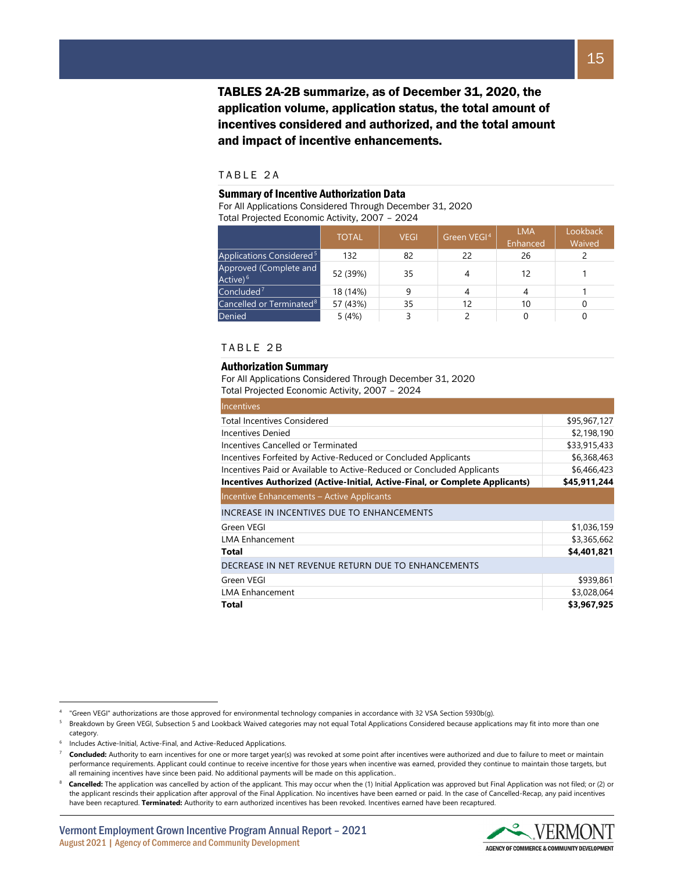TABLES 2A-2B summarize, as of December 31, 2020, the application volume, application status, the total amount of incentives considered and authorized, and the total amount and impact of incentive enhancements.

#### TABLE 2 A

#### Summary of Incentive Authorization Data

For All Applications Considered Through December 31, 2020 Total Projected Economic Activity, 2007 – 2024

|                                                | <b>TOTAL</b> | <b>VEGI</b> | Green VEGI <sup>4</sup> | <b>LMA</b><br>Enhanced | Lookback<br>Waived |
|------------------------------------------------|--------------|-------------|-------------------------|------------------------|--------------------|
| Applications Considered <sup>5</sup>           | 132          | 82          | 22                      | 26                     |                    |
| Approved (Complete and<br>Active) <sup>6</sup> | 52 (39%)     | 35          |                         | 12                     |                    |
| Concluded <sup>7</sup>                         | 18 (14%)     | 9           |                         | 4                      |                    |
| Cancelled or Terminated <sup>8</sup>           | 57 (43%)     | 35          | 12                      | 10                     |                    |
| <b>Denied</b>                                  | 5(4%)        |             |                         |                        |                    |

#### TABLE 2 B

#### Authorization Summary

For All Applications Considered Through December 31, 2020 Total Projected Economic Activity, 2007 – 2024

| <b>Incentives</b>                                                            |              |
|------------------------------------------------------------------------------|--------------|
| <b>Total Incentives Considered</b>                                           | \$95,967,127 |
| Incentives Denied                                                            | \$2,198,190  |
| Incentives Cancelled or Terminated                                           | \$33,915,433 |
| Incentives Forfeited by Active-Reduced or Concluded Applicants               | \$6,368,463  |
| Incentives Paid or Available to Active-Reduced or Concluded Applicants       | \$6,466,423  |
| Incentives Authorized (Active-Initial, Active-Final, or Complete Applicants) | \$45,911,244 |
| Incentive Enhancements - Active Applicants                                   |              |
| INCREASE IN INCENTIVES DUE TO ENHANCEMENTS                                   |              |
| Green VEGI                                                                   | \$1,036,159  |
| <b>LMA Enhancement</b>                                                       | \$3,365,662  |
| Total                                                                        | \$4,401,821  |
| DECREASE IN NET REVENUE RETURN DUE TO ENHANCEMENTS                           |              |
| Green VEGI                                                                   | \$939,861    |
| <b>LMA Enhancement</b>                                                       | \$3,028,064  |
| Total                                                                        | \$3,967,925  |



<span id="page-14-0"></span><sup>4</sup> "Green VEGI" authorizations are those approved for environmental technology companies in accordance with 32 VSA Section 5930b(g).

<span id="page-14-1"></span><sup>&</sup>lt;sup>5</sup> Breakdown by Green VEGI, Subsection 5 and Lookback Waived categories may not equal Total Applications Considered because applications may fit into more than one category.

<span id="page-14-2"></span>Includes Active-Initial, Active-Final, and Active-Reduced Applications.

<span id="page-14-3"></span>Concluded: Authority to earn incentives for one or more target year(s) was revoked at some point after incentives were authorized and due to failure to meet or maintain performance requirements. Applicant could continue to receive incentive for those years when incentive was earned, provided they continue to maintain those targets, but all remaining incentives have since been paid. No additional payments will be made on this application..

<span id="page-14-4"></span>Cancelled: The application was cancelled by action of the applicant. This may occur when the (1) Initial Application was approved but Final Application was not filed; or (2) or the applicant rescinds their application after approval of the Final Application. No incentives have been earned or paid. In the case of Cancelled-Recap, any paid incentives have been recaptured. **Terminated:** Authority to earn authorized incentives has been revoked. Incentives earned have been recaptured.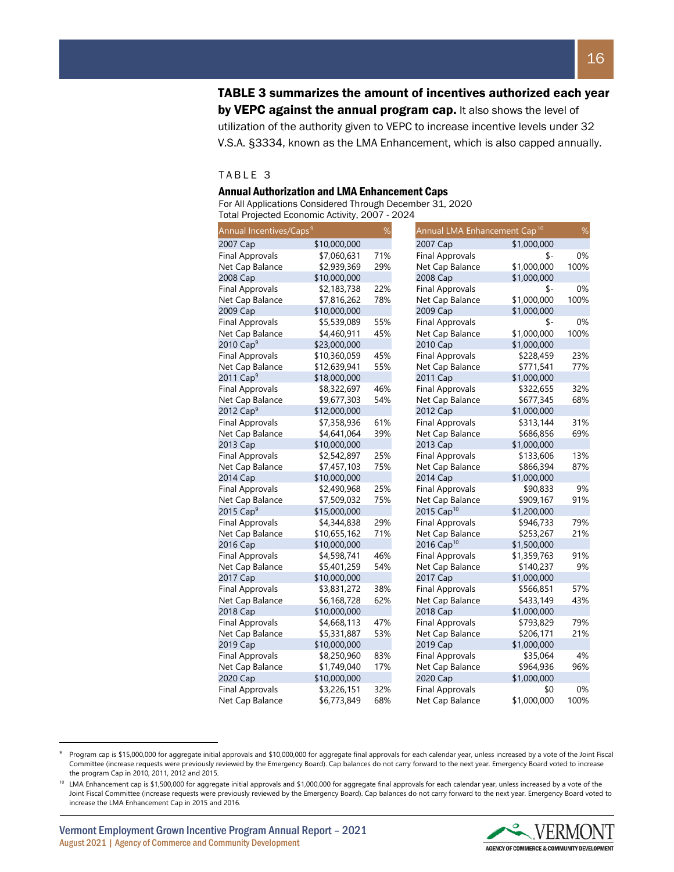TABLE 3 summarizes the amount of incentives authorized each year by VEPC against the annual program cap. It also shows the level of utilization of the authority given to VEPC to increase incentive levels under 32 V.S.A. §3334, known as the LMA Enhancement, which is also capped annually.

#### TABLE 3

#### Annual Authorization and LMA Enhancement Caps

For All Applications Considered Through December 31, 2020 Total Projected Economic Activity, 2007 - 2024

| Annual Incentives/Caps <sup>9</sup> |              | %   | Annual LMA Enhancement Cap <sup>10</sup> | %    |
|-------------------------------------|--------------|-----|------------------------------------------|------|
| 2007 Cap                            | \$10,000,000 |     | \$1,000,000<br>2007 Cap                  |      |
| <b>Final Approvals</b>              | \$7,060,631  | 71% | <b>Final Approvals</b><br>\$-            | 0%   |
| Net Cap Balance                     | \$2,939,369  | 29% | \$1,000,000<br>Net Cap Balance           | 100% |
| 2008 Cap                            | \$10,000,000 |     | \$1,000,000<br>2008 Cap                  |      |
| <b>Final Approvals</b>              | \$2,183,738  | 22% | \$-<br><b>Final Approvals</b>            | 0%   |
| Net Cap Balance                     | \$7,816,262  | 78% | \$1,000,000<br>Net Cap Balance           | 100% |
| 2009 Cap                            | \$10,000,000 |     | \$1,000,000<br>2009 Cap                  |      |
| <b>Final Approvals</b>              | \$5,539,089  | 55% | <b>Final Approvals</b><br>\$-            | 0%   |
| Net Cap Balance                     | \$4,460,911  | 45% | \$1,000,000<br>Net Cap Balance           | 100% |
| 2010 $Cap9$                         | \$23,000,000 |     | 2010 Cap<br>\$1,000,000                  |      |
| <b>Final Approvals</b>              | \$10,360,059 | 45% | <b>Final Approvals</b><br>\$228,459      | 23%  |
| Net Cap Balance                     | \$12,639,941 | 55% | \$771,541<br>Net Cap Balance             | 77%  |
| 2011 $Cap9$                         | \$18,000,000 |     | 2011 Cap<br>\$1,000,000                  |      |
| <b>Final Approvals</b>              | \$8,322,697  | 46% | <b>Final Approvals</b><br>\$322,655      | 32%  |
| Net Cap Balance                     | \$9,677,303  | 54% | Net Cap Balance<br>\$677,345             | 68%  |
| 2012 $Cap9$                         | \$12,000,000 |     | \$1,000,000<br>2012 Cap                  |      |
| <b>Final Approvals</b>              | \$7,358,936  | 61% | <b>Final Approvals</b><br>\$313,144      | 31%  |
| Net Cap Balance                     | \$4,641,064  | 39% | Net Cap Balance<br>\$686,856             | 69%  |
| 2013 Cap                            | \$10,000,000 |     | 2013 Cap<br>\$1,000,000                  |      |
| <b>Final Approvals</b>              | \$2,542,897  | 25% | <b>Final Approvals</b><br>\$133,606      | 13%  |
| Net Cap Balance                     | \$7,457,103  | 75% | Net Cap Balance<br>\$866,394             | 87%  |
| 2014 Cap                            | \$10,000,000 |     | \$1,000,000<br>2014 Cap                  |      |
| <b>Final Approvals</b>              | \$2,490,968  | 25% | <b>Final Approvals</b><br>\$90,833       | 9%   |
| Net Cap Balance                     | \$7,509,032  | 75% | Net Cap Balance<br>\$909,167             | 91%  |
| 2015 Cap <sup>9</sup>               | \$15,000,000 |     | 2015 Cap <sup>10</sup><br>\$1,200,000    |      |
| <b>Final Approvals</b>              | \$4,344,838  | 29% | <b>Final Approvals</b><br>\$946,733      | 79%  |
| Net Cap Balance                     | \$10,655,162 | 71% | Net Cap Balance<br>\$253,267             | 21%  |
| 2016 Cap                            | \$10,000,000 |     | 2016 Cap <sup>10</sup><br>\$1,500,000    |      |
| <b>Final Approvals</b>              | \$4,598,741  | 46% | <b>Final Approvals</b><br>\$1,359,763    | 91%  |
| Net Cap Balance                     | \$5,401,259  | 54% | \$140,237<br>Net Cap Balance             | 9%   |
| 2017 Cap                            | \$10,000,000 |     | \$1,000,000<br>2017 Cap                  |      |
| <b>Final Approvals</b>              | \$3,831,272  | 38% | <b>Final Approvals</b><br>\$566,851      | 57%  |
| Net Cap Balance                     | \$6,168,728  | 62% | Net Cap Balance<br>\$433,149             | 43%  |
| 2018 Cap                            | \$10,000,000 |     | 2018 Cap<br>\$1,000,000                  |      |
| <b>Final Approvals</b>              | \$4,668,113  | 47% | <b>Final Approvals</b><br>\$793,829      | 79%  |
| Net Cap Balance                     | \$5,331,887  | 53% | \$206,171<br>Net Cap Balance             | 21%  |
| 2019 Cap                            | \$10,000,000 |     | 2019 Cap<br>\$1,000,000                  |      |
| <b>Final Approvals</b>              | \$8,250,960  | 83% | <b>Final Approvals</b><br>\$35,064       | 4%   |
| Net Cap Balance                     | \$1,749,040  | 17% | Net Cap Balance<br>\$964,936             | 96%  |
| 2020 Cap                            | \$10,000,000 |     | 2020 Cap<br>\$1,000,000                  |      |
| <b>Final Approvals</b>              | \$3,226,151  | 32% | <b>Final Approvals</b><br>\$0            | 0%   |
| Net Cap Balance                     | \$6,773,849  | 68% | \$1,000,000<br>Net Cap Balance           | 100% |

<span id="page-15-0"></span>Program cap is \$15,000,000 for aggregate initial approvals and \$10,000,000 for aggregate final approvals for each calendar year, unless increased by a vote of the Joint Fiscal Committee (increase requests were previously reviewed by the Emergency Board). Cap balances do not carry forward to the next year. Emergency Board voted to increase the program Cap in 2010, 2011, 2012 and 2015.



<span id="page-15-1"></span><sup>&</sup>lt;sup>10</sup> LMA Enhancement cap is \$1,500,000 for aggregate initial approvals and \$1,000,000 for aggregate final approvals for each calendar year, unless increased by a vote of the Joint Fiscal Committee (increase requests were previously reviewed by the Emergency Board). Cap balances do not carry forward to the next year. Emergency Board voted to increase the LMA Enhancement Cap in 2015 and 2016.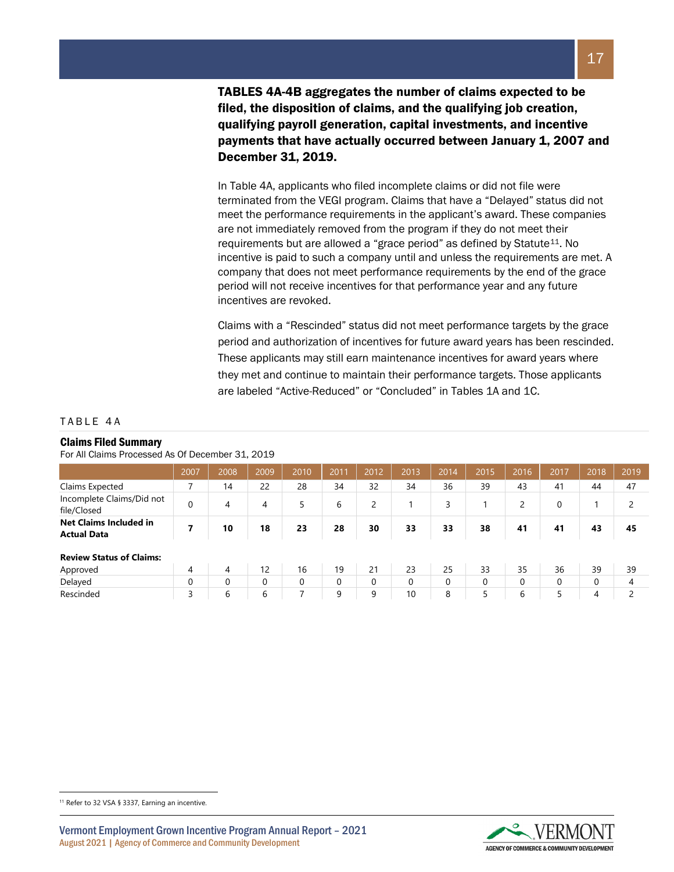TABLES 4A-4B aggregates the number of claims expected to be filed, the disposition of claims, and the qualifying job creation, qualifying payroll generation, capital investments, and incentive payments that have actually occurred between January 1, 2007 and December 31, 2019.

In Table 4A, applicants who filed incomplete claims or did not file were terminated from the VEGI program. Claims that have a "Delayed" status did not meet the performance requirements in the applicant's award. These companies are not immediately removed from the program if they do not meet their requirements but are allowed a "grace period" as defined by Statute<sup>[11](#page-16-0)</sup>. No incentive is paid to such a company until and unless the requirements are met. A company that does not meet performance requirements by the end of the grace period will not receive incentives for that performance year and any future incentives are revoked.

Claims with a "Rescinded" status did not meet performance targets by the grace period and authorization of incentives for future award years has been rescinded. These applicants may still earn maintenance incentives for award years where they met and continue to maintain their performance targets. Those applicants are labeled "Active-Reduced" or "Concluded" in Tables 1A and 1C.

#### TABLE 4 A

#### Claims Filed Summary

For All Claims Processed As Of December 31, 2019

|                                                     | 2007 | 2008     | 2009     | 2010     | 2011     | 2012 | 2013     | 2014     | 2015 | 2016     | 2017 | 2018 | 2019 |
|-----------------------------------------------------|------|----------|----------|----------|----------|------|----------|----------|------|----------|------|------|------|
| Claims Expected                                     | ⇁    | 14       | 22       | 28       | 34       | 32   | 34       | 36       | 39   | 43       | 41   | 44   | 47   |
| Incomplete Claims/Did not<br>file/Closed            | 0    | 4        | 4        | 5        | 6        | 2    |          | 3        |      | 2        | 0    |      |      |
| <b>Net Claims Included in</b><br><b>Actual Data</b> | 7    | 10       | 18       | 23       | 28       | 30   | 33       | 33       | 38   | 41       | 41   | 43   | 45   |
| <b>Review Status of Claims:</b>                     |      |          |          |          |          |      |          |          |      |          |      |      |      |
| Approved                                            | 4    | 4        | 12       | 16       | 19       | 21   | 23       | 25       | 33   | 35       | 36   | 39   | 39   |
| Delayed                                             | 0    | $\Omega$ | $\Omega$ | $\Omega$ | $\Omega$ | 0    | $\Omega$ | $\Omega$ | 0    | $\Omega$ | 0    | 0    | 4    |
| Rescinded                                           | 3    | 6        | 6        |          | 9        | 9    | 10       | 8        | 5    | 6        | 5    | 4    | ∍    |

<span id="page-16-0"></span><sup>11</sup> Refer to 32 VSA § 3337, Earning an incentive.

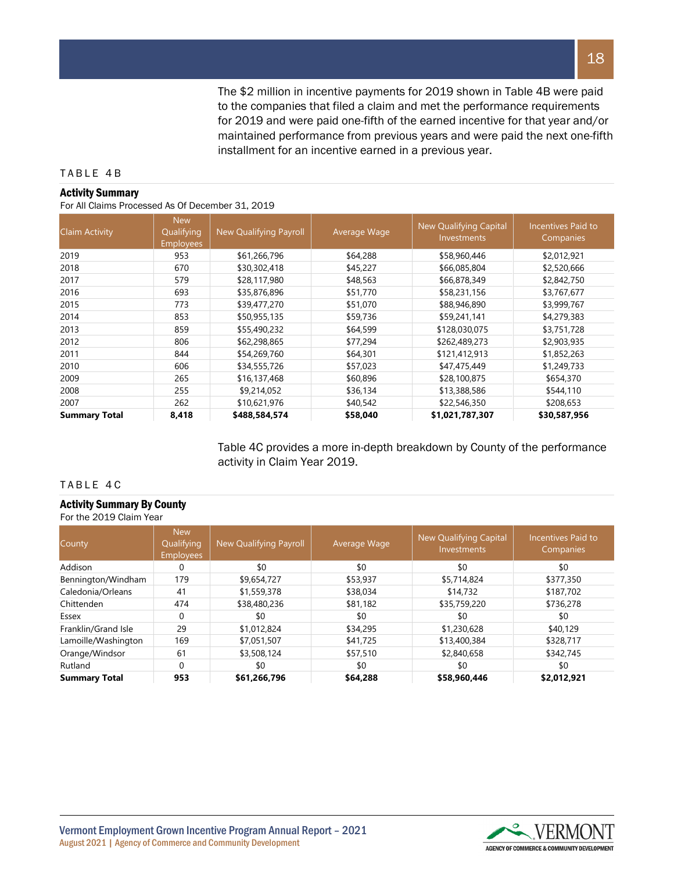The \$2 million in incentive payments for 2019 shown in Table 4B were paid to the companies that filed a claim and met the performance requirements for 2019 and were paid one-fifth of the earned incentive for that year and/or maintained performance from previous years and were paid the next one-fifth installment for an incentive earned in a previous year.

#### TABLE 4 B

#### Activity Summary

#### For All Claims Processed As Of December 31, 2019

| <b>Claim Activity</b> | <b>New</b><br>Qualifying<br><b>Employees</b> | <b>New Qualifying Payroll</b> | Average Wage | <b>New Qualifying Capital</b><br>Investments | Incentives Paid to<br>Companies |
|-----------------------|----------------------------------------------|-------------------------------|--------------|----------------------------------------------|---------------------------------|
| 2019                  | 953                                          | \$61,266,796                  | \$64,288     | \$58,960,446                                 | \$2,012,921                     |
| 2018                  | 670                                          | \$30,302,418                  | \$45,227     | \$66,085,804                                 | \$2,520,666                     |
| 2017                  | 579                                          | \$28,117,980                  | \$48,563     | \$66,878,349                                 | \$2,842,750                     |
| 2016                  | 693                                          | \$35,876,896                  | \$51,770     | \$58,231,156                                 | \$3,767,677                     |
| 2015                  | 773                                          | \$39,477,270                  | \$51,070     | \$88,946,890                                 | \$3,999,767                     |
| 2014                  | 853                                          | \$50,955,135                  | \$59,736     | \$59,241,141                                 | \$4,279,383                     |
| 2013                  | 859                                          | \$55,490,232                  | \$64,599     | \$128,030,075                                | \$3,751,728                     |
| 2012                  | 806                                          | \$62,298,865                  | \$77,294     | \$262,489,273                                | \$2,903,935                     |
| 2011                  | 844                                          | \$54,269,760                  | \$64,301     | \$121,412,913                                | \$1,852,263                     |
| 2010                  | 606                                          | \$34,555,726                  | \$57,023     | \$47,475,449                                 | \$1,249,733                     |
| 2009                  | 265                                          | \$16,137,468                  | \$60,896     | \$28,100,875                                 | \$654,370                       |
| 2008                  | 255                                          | \$9,214,052                   | \$36,134     | \$13,388,586                                 | \$544,110                       |
| 2007                  | 262                                          | \$10,621,976                  | \$40,542     | \$22,546,350                                 | \$208,653                       |
| <b>Summary Total</b>  | 8,418                                        | \$488,584,574                 | \$58,040     | \$1,021,787,307                              | \$30,587,956                    |

Table 4C provides a more in-depth breakdown by County of the performance activity in Claim Year 2019.

# TABLE 4 C

#### Activity Summary By County For the 2019 Claim Year

| County               | <b>New</b><br>Qualifying<br><b>Employees</b> | New Qualifying Payroll | Average Wage | New Qualifying Capital<br><b>Investments</b> | Incentives Paid to<br>Companies |
|----------------------|----------------------------------------------|------------------------|--------------|----------------------------------------------|---------------------------------|
| Addison              | 0                                            | \$0                    | \$0          | \$0                                          | \$0                             |
| Bennington/Windham   | 179                                          | \$9,654,727            | \$53,937     | \$5,714,824                                  | \$377,350                       |
| Caledonia/Orleans    | 41                                           | \$1,559,378            | \$38,034     | \$14,732                                     | \$187,702                       |
| Chittenden           | 474                                          | \$38,480,236           | \$81,182     | \$35,759,220                                 | \$736,278                       |
| Essex                | 0                                            | \$0                    | \$0          | \$0                                          | \$0                             |
| Franklin/Grand Isle  | 29                                           | \$1,012,824            | \$34,295     | \$1,230,628                                  | \$40,129                        |
| Lamoille/Washington  | 169                                          | \$7,051,507            | \$41,725     | \$13,400,384                                 | \$328,717                       |
| Orange/Windsor       | 61                                           | \$3,508,124            | \$57,510     | \$2,840,658                                  | \$342,745                       |
| Rutland              | $\Omega$                                     | \$0                    | \$0          | \$0                                          | \$0                             |
| <b>Summary Total</b> | 953                                          | \$61,266,796           | \$64,288     | \$58,960,446                                 | \$2,012,921                     |



Vermont Employment Grown Incentive Program Annual Report – 2021 August 2021 | Agency of Commerce and Community Development